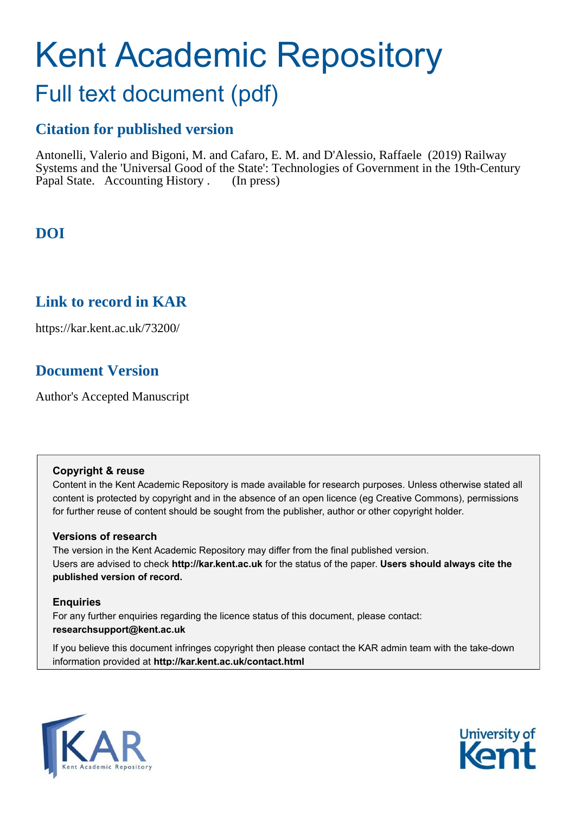# Kent Academic Repository

## Full text document (pdf)

## **Citation for published version**

Antonelli, Valerio and Bigoni, M. and Cafaro, E. M. and D'Alessio, Raffaele (2019) Railway Systems and the 'Universal Good of the State': Technologies of Government in the 19th-Century Papal State. Accounting History . (In press)

## **DOI**

## **Link to record in KAR**

https://kar.kent.ac.uk/73200/

## **Document Version**

Author's Accepted Manuscript

#### **Copyright & reuse**

Content in the Kent Academic Repository is made available for research purposes. Unless otherwise stated all content is protected by copyright and in the absence of an open licence (eg Creative Commons), permissions for further reuse of content should be sought from the publisher, author or other copyright holder.

#### **Versions of research**

The version in the Kent Academic Repository may differ from the final published version. Users are advised to check **http://kar.kent.ac.uk** for the status of the paper. **Users should always cite the published version of record.**

#### **Enquiries**

For any further enquiries regarding the licence status of this document, please contact: **researchsupport@kent.ac.uk**

If you believe this document infringes copyright then please contact the KAR admin team with the take-down information provided at **http://kar.kent.ac.uk/contact.html**



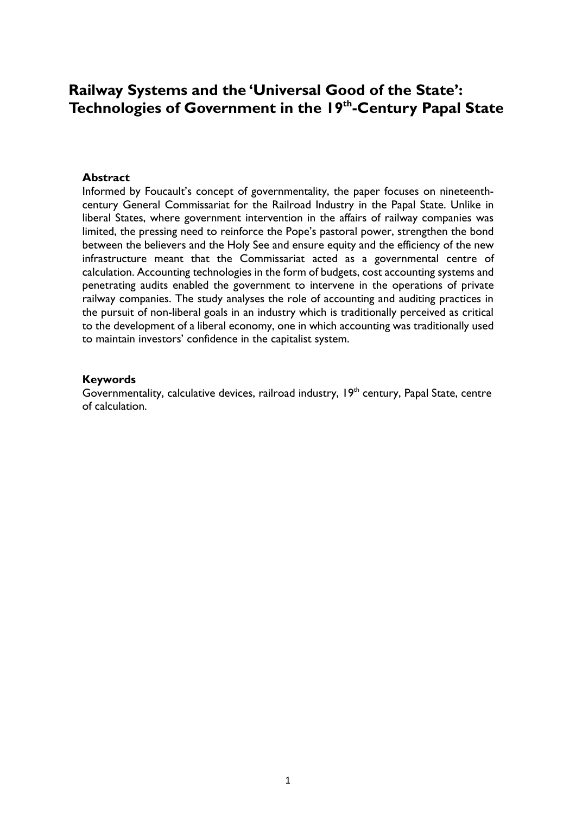### **Railway Systems and the 'Universal Good of the State': Technologies of Government in the 19th-Century Papal State**

#### **Abstract**

Informed by Foucault's concept of governmentality, the paper focuses on nineteenthcentury General Commissariat for the Railroad Industry in the Papal State. Unlike in liberal States, where government intervention in the affairs of railway companies was limited, the pressing need to reinforce the Pope's pastoral power, strengthen the bond between the believers and the Holy See and ensure equity and the efficiency of the new infrastructure meant that the Commissariat acted as a governmental centre of calculation. Accounting technologies in the form of budgets, cost accounting systems and penetrating audits enabled the government to intervene in the operations of private railway companies. The study analyses the role of accounting and auditing practices in the pursuit of non-liberal goals in an industry which is traditionally perceived as critical to the development of a liberal economy, one in which accounting was traditionally used to maintain investors' confidence in the capitalist system.

#### **Keywords**

Governmentality, calculative devices, railroad industry, 19<sup>th</sup> century, Papal State, centre of calculation.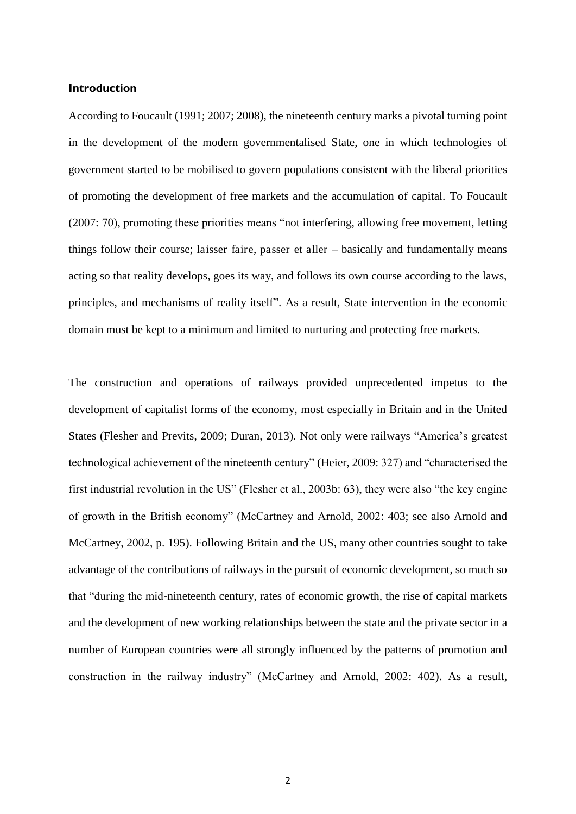#### **Introduction**

According to Foucault (1991; 2007; 2008), the nineteenth century marks a pivotal turning point in the development of the modern governmentalised State, one in which technologies of government started to be mobilised to govern populations consistent with the liberal priorities of promoting the development of free markets and the accumulation of capital. To Foucault (2007: 70), promoting these priorities means "not interfering, allowing free movement, letting things follow their course; laisser faire, passer et aller – basically and fundamentally means acting so that reality develops, goes its way, and follows its own course according to the laws, principles, and mechanisms of reality itself". As a result, State intervention in the economic domain must be kept to a minimum and limited to nurturing and protecting free markets.

The construction and operations of railways provided unprecedented impetus to the development of capitalist forms of the economy, most especially in Britain and in the United States (Flesher and Previts, 2009; Duran, 2013). Not only were railways "America's greatest technological achievement of the nineteenth century" (Heier, 2009: 327) and "characterised the first industrial revolution in the US" (Flesher et al., 2003b: 63), they were also "the key engine of growth in the British economy" (McCartney and Arnold, 2002: 403; see also Arnold and McCartney, 2002, p. 195). Following Britain and the US, many other countries sought to take advantage of the contributions of railways in the pursuit of economic development, so much so that "during the mid-nineteenth century, rates of economic growth, the rise of capital markets and the development of new working relationships between the state and the private sector in a number of European countries were all strongly influenced by the patterns of promotion and construction in the railway industry" (McCartney and Arnold, 2002: 402). As a result,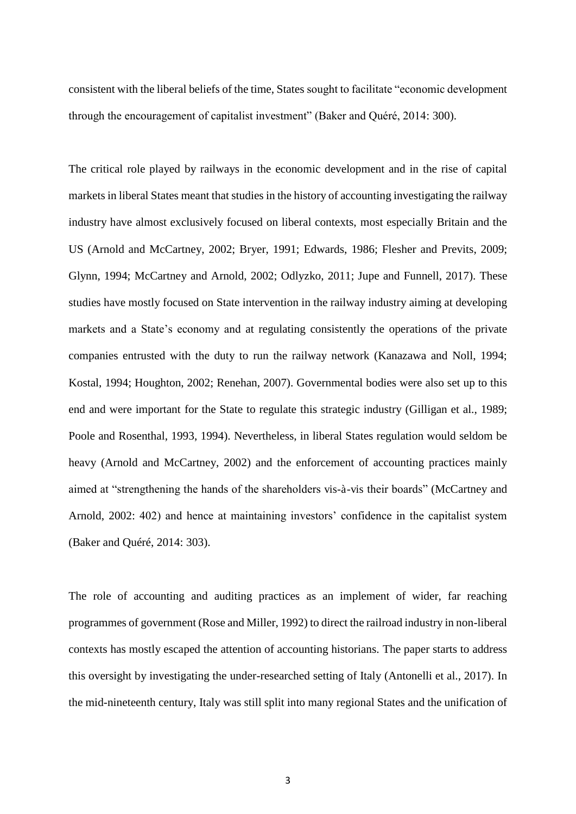consistent with the liberal beliefs of the time, States sought to facilitate "economic development through the encouragement of capitalist investment" (Baker and Quéré, 2014: 300).

The critical role played by railways in the economic development and in the rise of capital markets in liberal States meant that studies in the history of accounting investigating the railway industry have almost exclusively focused on liberal contexts, most especially Britain and the US (Arnold and McCartney, 2002; Bryer, 1991; Edwards, 1986; Flesher and Previts, 2009; Glynn, 1994; McCartney and Arnold, 2002; Odlyzko, 2011; Jupe and Funnell, 2017). These studies have mostly focused on State intervention in the railway industry aiming at developing markets and a State's economy and at regulating consistently the operations of the private companies entrusted with the duty to run the railway network (Kanazawa and Noll, 1994; Kostal, 1994; Houghton, 2002; Renehan, 2007). Governmental bodies were also set up to this end and were important for the State to regulate this strategic industry (Gilligan et al., 1989; Poole and Rosenthal, 1993, 1994). Nevertheless, in liberal States regulation would seldom be heavy (Arnold and McCartney, 2002) and the enforcement of accounting practices mainly aimed at "strengthening the hands of the shareholders vis-à-vis their boards" (McCartney and Arnold, 2002: 402) and hence at maintaining investors' confidence in the capitalist system (Baker and Quéré, 2014: 303).

The role of accounting and auditing practices as an implement of wider, far reaching programmes of government (Rose and Miller, 1992) to direct the railroad industry in non-liberal contexts has mostly escaped the attention of accounting historians. The paper starts to address this oversight by investigating the under-researched setting of Italy (Antonelli et al., 2017). In the mid-nineteenth century, Italy was still split into many regional States and the unification of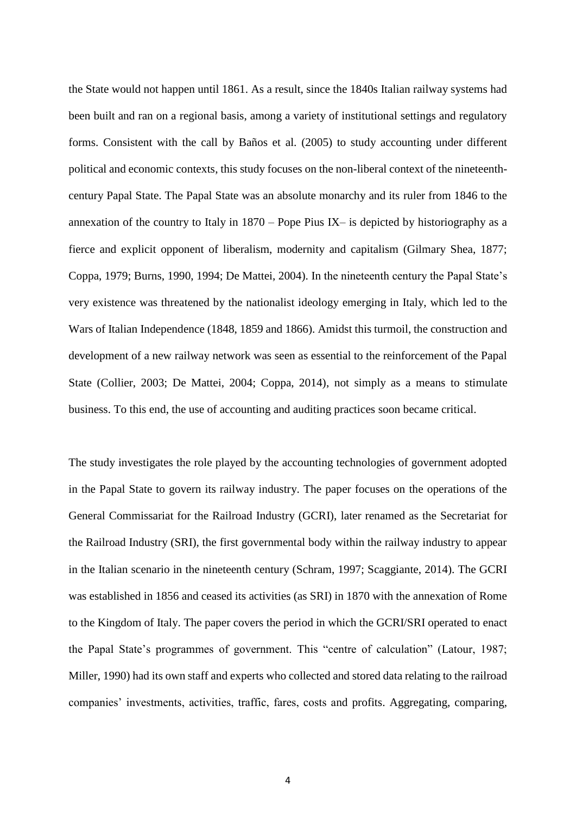the State would not happen until 1861. As a result, since the 1840s Italian railway systems had been built and ran on a regional basis, among a variety of institutional settings and regulatory forms. Consistent with the call by Baños et al. (2005) to study accounting under different political and economic contexts, this study focuses on the non-liberal context of the nineteenthcentury Papal State. The Papal State was an absolute monarchy and its ruler from 1846 to the annexation of the country to Italy in 1870 – Pope Pius IX– is depicted by historiography as a fierce and explicit opponent of liberalism, modernity and capitalism (Gilmary Shea, 1877; Coppa, 1979; Burns, 1990, 1994; De Mattei, 2004). In the nineteenth century the Papal State's very existence was threatened by the nationalist ideology emerging in Italy, which led to the Wars of Italian Independence (1848, 1859 and 1866). Amidst this turmoil, the construction and development of a new railway network was seen as essential to the reinforcement of the Papal State (Collier, 2003; De Mattei, 2004; Coppa, 2014), not simply as a means to stimulate business. To this end, the use of accounting and auditing practices soon became critical.

The study investigates the role played by the accounting technologies of government adopted in the Papal State to govern its railway industry. The paper focuses on the operations of the General Commissariat for the Railroad Industry (GCRI), later renamed as the Secretariat for the Railroad Industry (SRI), the first governmental body within the railway industry to appear in the Italian scenario in the nineteenth century (Schram, 1997; Scaggiante, 2014). The GCRI was established in 1856 and ceased its activities (as SRI) in 1870 with the annexation of Rome to the Kingdom of Italy. The paper covers the period in which the GCRI/SRI operated to enact the Papal State's programmes of government. This "centre of calculation" (Latour, 1987; Miller, 1990) had its own staff and experts who collected and stored data relating to the railroad companies' investments, activities, traffic, fares, costs and profits. Aggregating, comparing,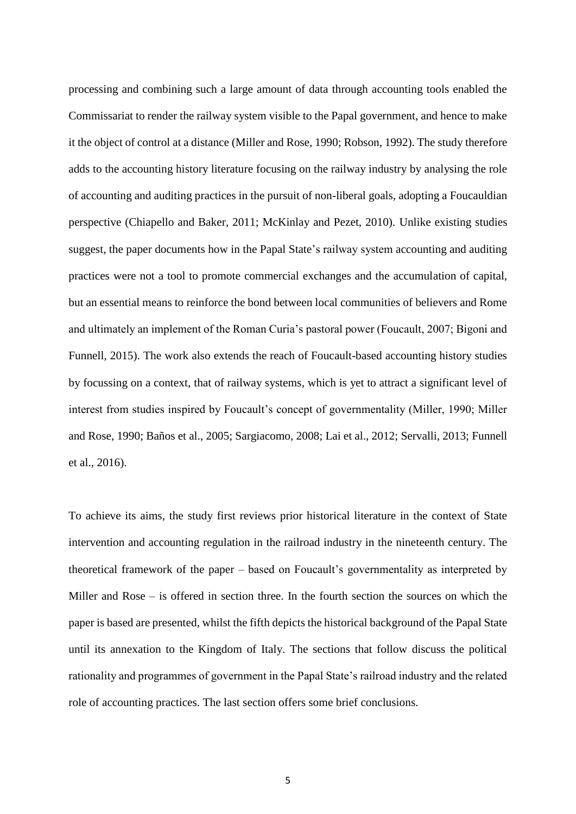processing and combining such a large amount of data through accounting tools enabled the Commissariat to render the railway system visible to the Papal government, and hence to make it the object of control at a distance (Miller and Rose, 1990; Robson, 1992). The study therefore adds to the accounting history literature focusing on the railway industry by analysing the role of accounting and auditing practices in the pursuit of non-liberal goals, adopting a Foucauldian perspective (Chiapello and Baker, 2011; McKinlay and Pezet, 2010). Unlike existing studies suggest, the paper documents how in the Papal State's railway system accounting and auditing practices were not a tool to promote commercial exchanges and the accumulation of capital, but an essential means to reinforce the bond between local communities of believers and Rome and ultimately an implement of the Roman Curia's pastoral power (Foucault, 2007; Bigoni and Funnell, 2015). The work also extends the reach of Foucault-based accounting history studies by focussing on a context, that of railway systems, which is yet to attract a significant level of interest from studies inspired by Foucault's concept of governmentality (Miller, 1990; Miller and Rose, 1990; Baños et al., 2005; Sargiacomo, 2008; Lai et al., 2012; Servalli, 2013; Funnell et al., 2016).

To achieve its aims, the study first reviews prior historical literature in the context of State intervention and accounting regulation in the railroad industry in the nineteenth century. The theoretical framework of the paper – based on Foucault's governmentality as interpreted by Miller and Rose – is offered in section three. In the fourth section the sources on which the paper is based are presented, whilst the fifth depicts the historical background of the Papal State until its annexation to the Kingdom of Italy. The sections that follow discuss the political rationality and programmes of government in the Papal State's railroad industry and the related role of accounting practices. The last section offers some brief conclusions.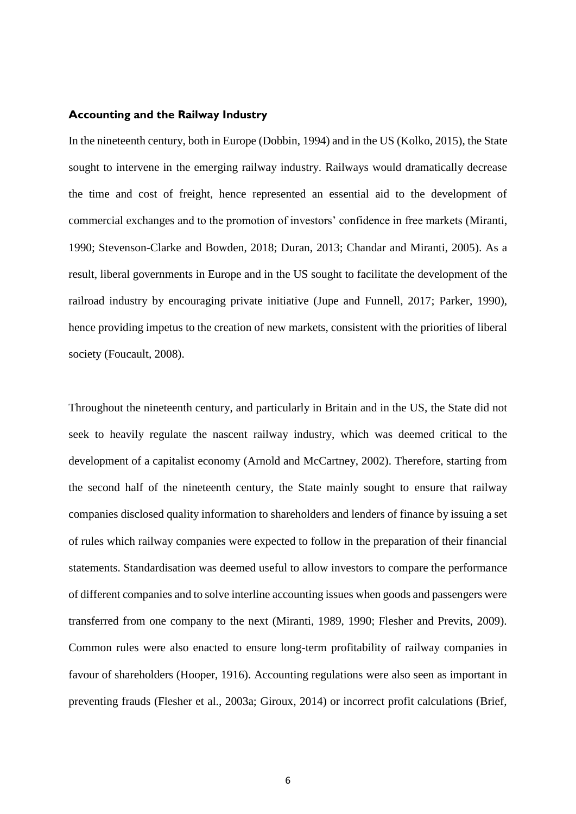#### **Accounting and the Railway Industry**

In the nineteenth century, both in Europe (Dobbin, 1994) and in the US (Kolko, 2015), the State sought to intervene in the emerging railway industry. Railways would dramatically decrease the time and cost of freight, hence represented an essential aid to the development of commercial exchanges and to the promotion of investors' confidence in free markets (Miranti, 1990; Stevenson-Clarke and Bowden, 2018; Duran, 2013; Chandar and Miranti, 2005). As a result, liberal governments in Europe and in the US sought to facilitate the development of the railroad industry by encouraging private initiative (Jupe and Funnell, 2017; Parker, 1990), hence providing impetus to the creation of new markets, consistent with the priorities of liberal society (Foucault, 2008).

Throughout the nineteenth century, and particularly in Britain and in the US, the State did not seek to heavily regulate the nascent railway industry, which was deemed critical to the development of a capitalist economy (Arnold and McCartney, 2002). Therefore, starting from the second half of the nineteenth century, the State mainly sought to ensure that railway companies disclosed quality information to shareholders and lenders of finance by issuing a set of rules which railway companies were expected to follow in the preparation of their financial statements. Standardisation was deemed useful to allow investors to compare the performance of different companies and to solve interline accounting issues when goods and passengers were transferred from one company to the next (Miranti, 1989, 1990; Flesher and Previts, 2009). Common rules were also enacted to ensure long-term profitability of railway companies in favour of shareholders (Hooper, 1916). Accounting regulations were also seen as important in preventing frauds (Flesher et al., 2003a; Giroux, 2014) or incorrect profit calculations (Brief,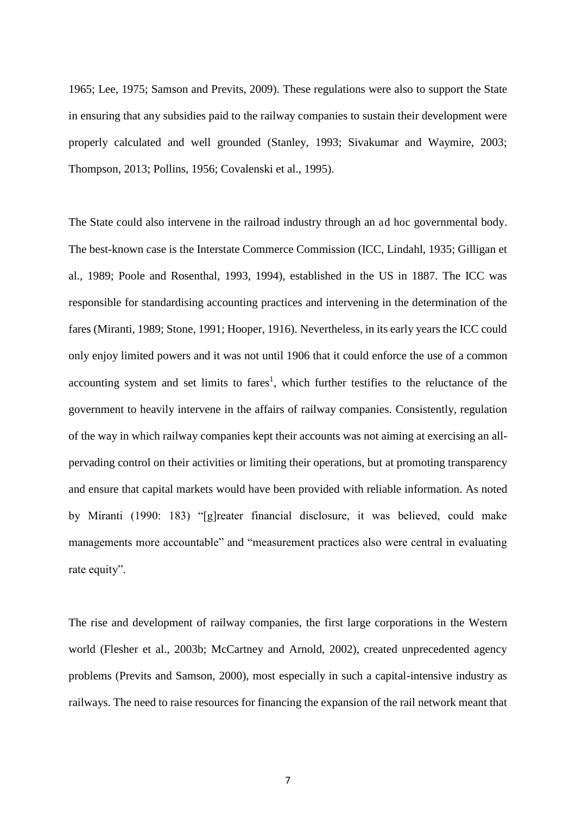1965; Lee, 1975; Samson and Previts, 2009). These regulations were also to support the State in ensuring that any subsidies paid to the railway companies to sustain their development were properly calculated and well grounded (Stanley, 1993; Sivakumar and Waymire, 2003; Thompson, 2013; Pollins, 1956; Covalenski et al., 1995).

The State could also intervene in the railroad industry through an ad hoc governmental body. The best-known case is the Interstate Commerce Commission (ICC, Lindahl, 1935; Gilligan et al., 1989; Poole and Rosenthal, 1993, 1994), established in the US in 1887. The ICC was responsible for standardising accounting practices and intervening in the determination of the fares (Miranti, 1989; Stone, 1991; Hooper, 1916). Nevertheless, in its early years the ICC could only enjoy limited powers and it was not until 1906 that it could enforce the use of a common accounting system and set limits to fares<sup>1</sup>, which further testifies to the reluctance of the government to heavily intervene in the affairs of railway companies. Consistently, regulation of the way in which railway companies kept their accounts was not aiming at exercising an allpervading control on their activities or limiting their operations, but at promoting transparency and ensure that capital markets would have been provided with reliable information. As noted by Miranti (1990: 183) "[g]reater financial disclosure, it was believed, could make managements more accountable" and "measurement practices also were central in evaluating rate equity".

The rise and development of railway companies, the first large corporations in the Western world (Flesher et al., 2003b; McCartney and Arnold, 2002), created unprecedented agency problems (Previts and Samson, 2000), most especially in such a capital-intensive industry as railways. The need to raise resources for financing the expansion of the rail network meant that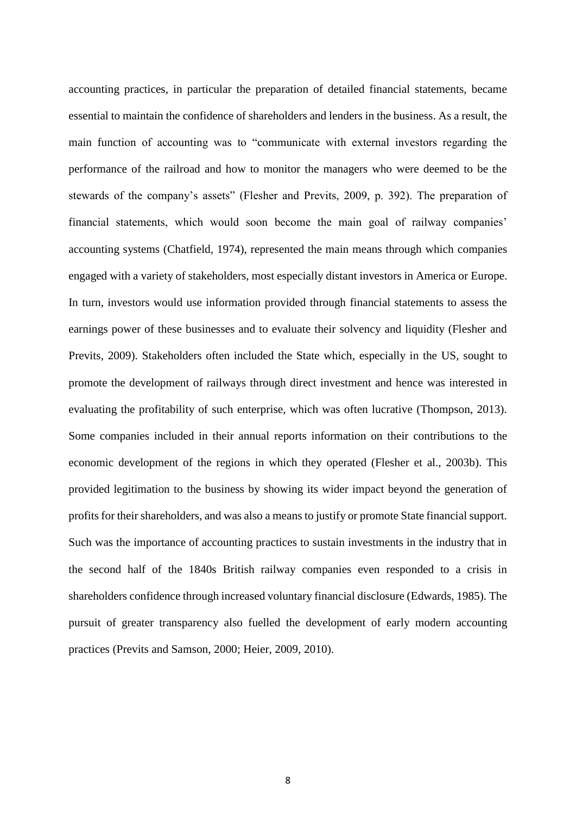accounting practices, in particular the preparation of detailed financial statements, became essential to maintain the confidence of shareholders and lenders in the business. As a result, the main function of accounting was to "communicate with external investors regarding the performance of the railroad and how to monitor the managers who were deemed to be the stewards of the company's assets" (Flesher and Previts, 2009, p. 392). The preparation of financial statements, which would soon become the main goal of railway companies' accounting systems (Chatfield, 1974), represented the main means through which companies engaged with a variety of stakeholders, most especially distant investors in America or Europe. In turn, investors would use information provided through financial statements to assess the earnings power of these businesses and to evaluate their solvency and liquidity (Flesher and Previts, 2009). Stakeholders often included the State which, especially in the US, sought to promote the development of railways through direct investment and hence was interested in evaluating the profitability of such enterprise, which was often lucrative (Thompson, 2013). Some companies included in their annual reports information on their contributions to the economic development of the regions in which they operated (Flesher et al., 2003b). This provided legitimation to the business by showing its wider impact beyond the generation of profits for their shareholders, and was also a means to justify or promote State financial support. Such was the importance of accounting practices to sustain investments in the industry that in the second half of the 1840s British railway companies even responded to a crisis in shareholders confidence through increased voluntary financial disclosure (Edwards, 1985). The pursuit of greater transparency also fuelled the development of early modern accounting practices (Previts and Samson, 2000; Heier, 2009, 2010).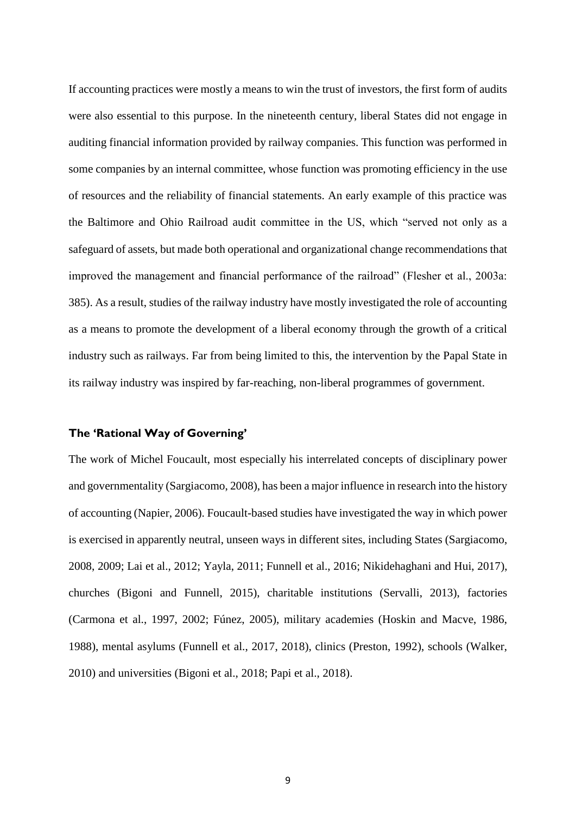If accounting practices were mostly a means to win the trust of investors, the first form of audits were also essential to this purpose. In the nineteenth century, liberal States did not engage in auditing financial information provided by railway companies. This function was performed in some companies by an internal committee, whose function was promoting efficiency in the use of resources and the reliability of financial statements. An early example of this practice was the Baltimore and Ohio Railroad audit committee in the US, which "served not only as a safeguard of assets, but made both operational and organizational change recommendations that improved the management and financial performance of the railroad" (Flesher et al., 2003a: 385). As a result, studies of the railway industry have mostly investigated the role of accounting as a means to promote the development of a liberal economy through the growth of a critical industry such as railways. Far from being limited to this, the intervention by the Papal State in its railway industry was inspired by far-reaching, non-liberal programmes of government.

#### **The 'Rational Way of Governing'**

The work of Michel Foucault, most especially his interrelated concepts of disciplinary power and governmentality (Sargiacomo, 2008), has been a major influence in research into the history of accounting (Napier, 2006). Foucault-based studies have investigated the way in which power is exercised in apparently neutral, unseen ways in different sites, including States (Sargiacomo, 2008, 2009; Lai et al., 2012; Yayla, 2011; Funnell et al., 2016; Nikidehaghani and Hui, 2017), churches (Bigoni and Funnell, 2015), charitable institutions (Servalli, 2013), factories (Carmona et al., 1997, 2002; Fúnez, 2005), military academies (Hoskin and Macve, 1986, 1988), mental asylums (Funnell et al., 2017, 2018), clinics (Preston, 1992), schools (Walker, 2010) and universities (Bigoni et al., 2018; Papi et al., 2018).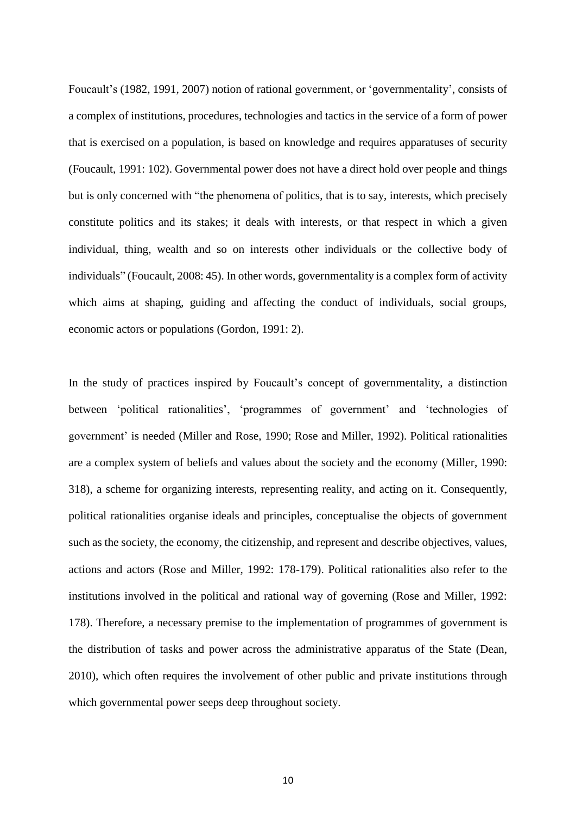Foucault's (1982, 1991, 2007) notion of rational government, or 'governmentality', consists of a complex of institutions, procedures, technologies and tactics in the service of a form of power that is exercised on a population, is based on knowledge and requires apparatuses of security (Foucault, 1991: 102). Governmental power does not have a direct hold over people and things but is only concerned with "the phenomena of politics, that is to say, interests, which precisely constitute politics and its stakes; it deals with interests, or that respect in which a given individual, thing, wealth and so on interests other individuals or the collective body of individuals" (Foucault, 2008: 45). In other words, governmentality is a complex form of activity which aims at shaping, guiding and affecting the conduct of individuals, social groups, economic actors or populations (Gordon, 1991: 2).

In the study of practices inspired by Foucault's concept of governmentality, a distinction between 'political rationalities', 'programmes of government' and 'technologies of government' is needed (Miller and Rose, 1990; Rose and Miller, 1992). Political rationalities are a complex system of beliefs and values about the society and the economy (Miller, 1990: 318), a scheme for organizing interests, representing reality, and acting on it. Consequently, political rationalities organise ideals and principles, conceptualise the objects of government such as the society, the economy, the citizenship, and represent and describe objectives, values, actions and actors (Rose and Miller, 1992: 178-179). Political rationalities also refer to the institutions involved in the political and rational way of governing (Rose and Miller, 1992: 178). Therefore, a necessary premise to the implementation of programmes of government is the distribution of tasks and power across the administrative apparatus of the State (Dean, 2010), which often requires the involvement of other public and private institutions through which governmental power seeps deep throughout society.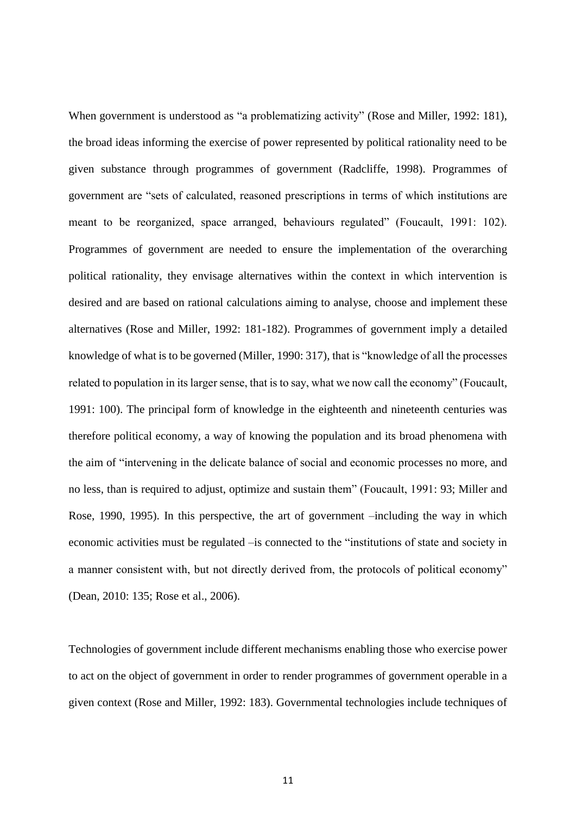When government is understood as "a problematizing activity" (Rose and Miller, 1992: 181), the broad ideas informing the exercise of power represented by political rationality need to be given substance through programmes of government (Radcliffe, 1998). Programmes of government are "sets of calculated, reasoned prescriptions in terms of which institutions are meant to be reorganized, space arranged, behaviours regulated" (Foucault, 1991: 102). Programmes of government are needed to ensure the implementation of the overarching political rationality, they envisage alternatives within the context in which intervention is desired and are based on rational calculations aiming to analyse, choose and implement these alternatives (Rose and Miller, 1992: 181-182). Programmes of government imply a detailed knowledge of what is to be governed (Miller, 1990: 317), that is "knowledge of all the processes related to population in its larger sense, that is to say, what we now call the economy" (Foucault, 1991: 100). The principal form of knowledge in the eighteenth and nineteenth centuries was therefore political economy, a way of knowing the population and its broad phenomena with the aim of "intervening in the delicate balance of social and economic processes no more, and no less, than is required to adjust, optimize and sustain them" (Foucault, 1991: 93; Miller and Rose, 1990, 1995). In this perspective, the art of government –including the way in which economic activities must be regulated –is connected to the "institutions of state and society in a manner consistent with, but not directly derived from, the protocols of political economy" (Dean, 2010: 135; Rose et al., 2006).

Technologies of government include different mechanisms enabling those who exercise power to act on the object of government in order to render programmes of government operable in a given context (Rose and Miller, 1992: 183). Governmental technologies include techniques of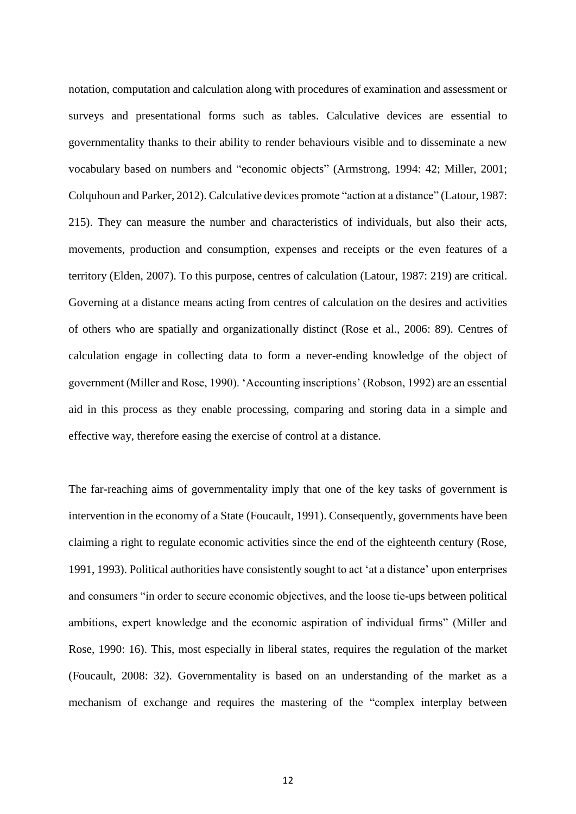notation, computation and calculation along with procedures of examination and assessment or surveys and presentational forms such as tables. Calculative devices are essential to governmentality thanks to their ability to render behaviours visible and to disseminate a new vocabulary based on numbers and "economic objects" (Armstrong, 1994: 42; Miller, 2001; Colquhoun and Parker, 2012). Calculative devices promote "action at a distance" (Latour, 1987: 215). They can measure the number and characteristics of individuals, but also their acts, movements, production and consumption, expenses and receipts or the even features of a territory (Elden, 2007). To this purpose, centres of calculation (Latour, 1987: 219) are critical. Governing at a distance means acting from centres of calculation on the desires and activities of others who are spatially and organizationally distinct (Rose et al., 2006: 89). Centres of calculation engage in collecting data to form a never-ending knowledge of the object of government (Miller and Rose, 1990). 'Accounting inscriptions' (Robson, 1992) are an essential aid in this process as they enable processing, comparing and storing data in a simple and effective way, therefore easing the exercise of control at a distance.

The far-reaching aims of governmentality imply that one of the key tasks of government is intervention in the economy of a State (Foucault, 1991). Consequently, governments have been claiming a right to regulate economic activities since the end of the eighteenth century (Rose, 1991, 1993). Political authorities have consistently sought to act 'at a distance' upon enterprises and consumers "in order to secure economic objectives, and the loose tie-ups between political ambitions, expert knowledge and the economic aspiration of individual firms" (Miller and Rose, 1990: 16). This, most especially in liberal states, requires the regulation of the market (Foucault, 2008: 32). Governmentality is based on an understanding of the market as a mechanism of exchange and requires the mastering of the "complex interplay between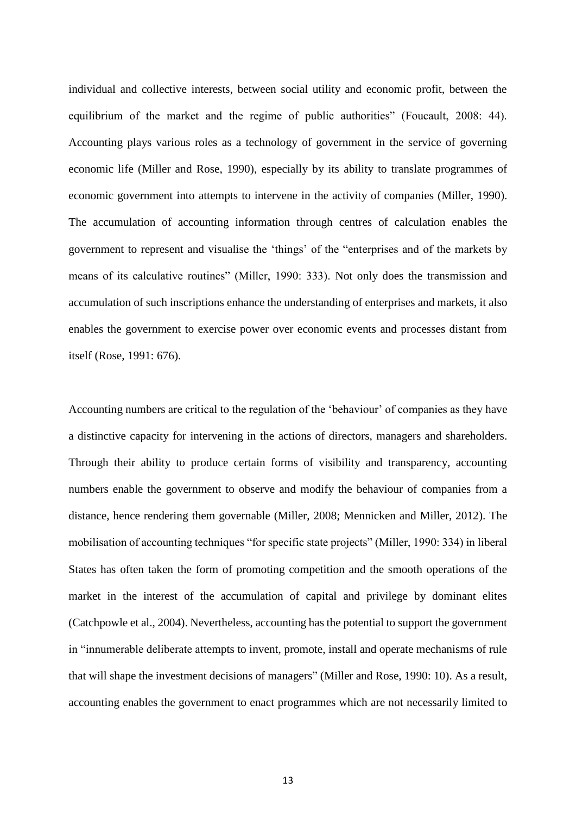individual and collective interests, between social utility and economic profit, between the equilibrium of the market and the regime of public authorities" (Foucault, 2008: 44). Accounting plays various roles as a technology of government in the service of governing economic life (Miller and Rose, 1990), especially by its ability to translate programmes of economic government into attempts to intervene in the activity of companies (Miller, 1990). The accumulation of accounting information through centres of calculation enables the government to represent and visualise the 'things' of the "enterprises and of the markets by means of its calculative routines" (Miller, 1990: 333). Not only does the transmission and accumulation of such inscriptions enhance the understanding of enterprises and markets, it also enables the government to exercise power over economic events and processes distant from itself (Rose, 1991: 676).

Accounting numbers are critical to the regulation of the 'behaviour' of companies as they have a distinctive capacity for intervening in the actions of directors, managers and shareholders. Through their ability to produce certain forms of visibility and transparency, accounting numbers enable the government to observe and modify the behaviour of companies from a distance, hence rendering them governable (Miller, 2008; Mennicken and Miller, 2012). The mobilisation of accounting techniques "for specific state projects" (Miller, 1990: 334) in liberal States has often taken the form of promoting competition and the smooth operations of the market in the interest of the accumulation of capital and privilege by dominant elites (Catchpowle et al., 2004). Nevertheless, accounting has the potential to support the government in "innumerable deliberate attempts to invent, promote, install and operate mechanisms of rule that will shape the investment decisions of managers" (Miller and Rose, 1990: 10). As a result, accounting enables the government to enact programmes which are not necessarily limited to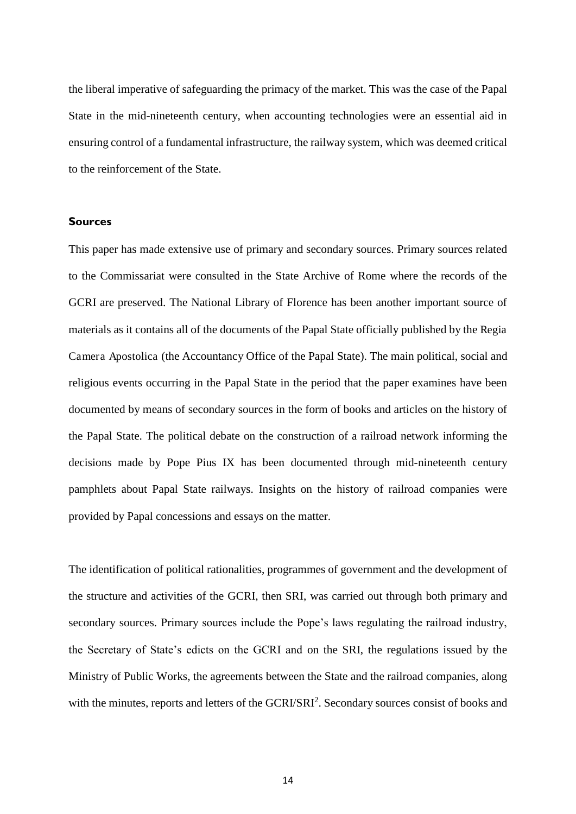the liberal imperative of safeguarding the primacy of the market. This was the case of the Papal State in the mid-nineteenth century, when accounting technologies were an essential aid in ensuring control of a fundamental infrastructure, the railway system, which was deemed critical to the reinforcement of the State.

#### **Sources**

This paper has made extensive use of primary and secondary sources. Primary sources related to the Commissariat were consulted in the State Archive of Rome where the records of the GCRI are preserved. The National Library of Florence has been another important source of materials as it contains all of the documents of the Papal State officially published by the Regia Camera Apostolica (the Accountancy Office of the Papal State). The main political, social and religious events occurring in the Papal State in the period that the paper examines have been documented by means of secondary sources in the form of books and articles on the history of the Papal State. The political debate on the construction of a railroad network informing the decisions made by Pope Pius IX has been documented through mid-nineteenth century pamphlets about Papal State railways. Insights on the history of railroad companies were provided by Papal concessions and essays on the matter.

The identification of political rationalities, programmes of government and the development of the structure and activities of the GCRI, then SRI, was carried out through both primary and secondary sources. Primary sources include the Pope's laws regulating the railroad industry, the Secretary of State's edicts on the GCRI and on the SRI, the regulations issued by the Ministry of Public Works, the agreements between the State and the railroad companies, along with the minutes, reports and letters of the GCRI/SRI<sup>2</sup>. Secondary sources consist of books and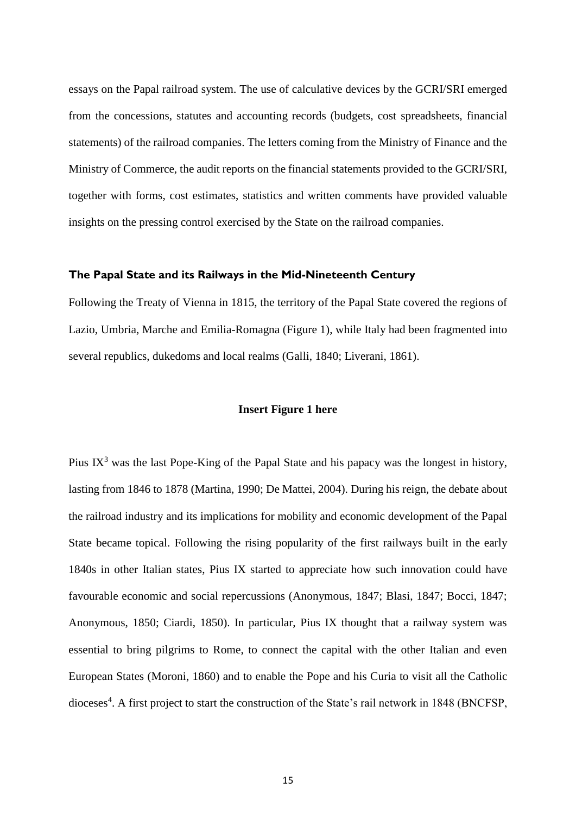essays on the Papal railroad system. The use of calculative devices by the GCRI/SRI emerged from the concessions, statutes and accounting records (budgets, cost spreadsheets, financial statements) of the railroad companies. The letters coming from the Ministry of Finance and the Ministry of Commerce, the audit reports on the financial statements provided to the GCRI/SRI, together with forms, cost estimates, statistics and written comments have provided valuable insights on the pressing control exercised by the State on the railroad companies.

#### **The Papal State and its Railways in the Mid-Nineteenth Century**

Following the Treaty of Vienna in 1815, the territory of the Papal State covered the regions of Lazio, Umbria, Marche and Emilia-Romagna (Figure 1), while Italy had been fragmented into several republics, dukedoms and local realms (Galli, 1840; Liverani, 1861).

#### **Insert Figure 1 here**

Pius  $IX<sup>3</sup>$  was the last Pope-King of the Papal State and his papacy was the longest in history, lasting from 1846 to 1878 (Martina, 1990; De Mattei, 2004). During his reign, the debate about the railroad industry and its implications for mobility and economic development of the Papal State became topical. Following the rising popularity of the first railways built in the early 1840s in other Italian states, Pius IX started to appreciate how such innovation could have favourable economic and social repercussions (Anonymous, 1847; Blasi, 1847; Bocci, 1847; Anonymous, 1850; Ciardi, 1850). In particular, Pius IX thought that a railway system was essential to bring pilgrims to Rome, to connect the capital with the other Italian and even European States (Moroni, 1860) and to enable the Pope and his Curia to visit all the Catholic dioceses<sup>4</sup>. A first project to start the construction of the State's rail network in 1848 (BNCFSP,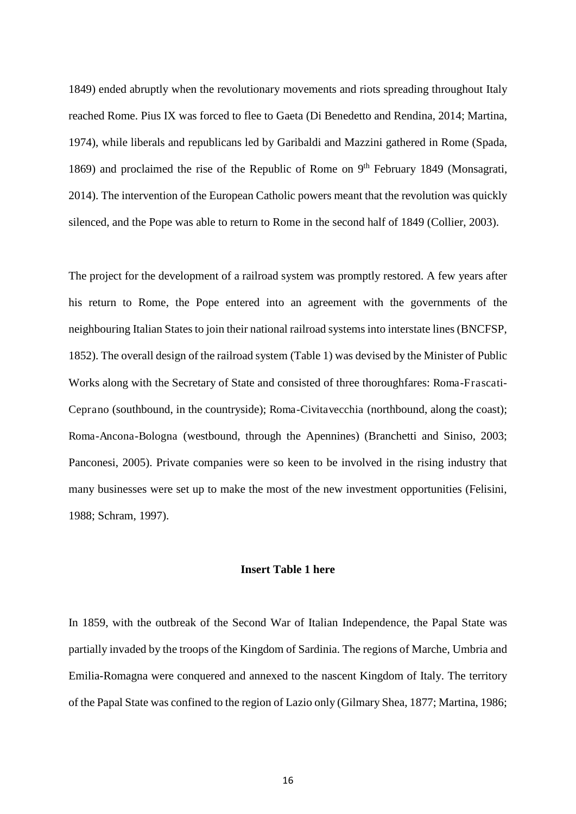1849) ended abruptly when the revolutionary movements and riots spreading throughout Italy reached Rome. Pius IX was forced to flee to Gaeta (Di Benedetto and Rendina, 2014; Martina, 1974), while liberals and republicans led by Garibaldi and Mazzini gathered in Rome (Spada, 1869) and proclaimed the rise of the Republic of Rome on  $9<sup>th</sup>$  February 1849 (Monsagrati, 2014). The intervention of the European Catholic powers meant that the revolution was quickly silenced, and the Pope was able to return to Rome in the second half of 1849 (Collier, 2003).

The project for the development of a railroad system was promptly restored. A few years after his return to Rome, the Pope entered into an agreement with the governments of the neighbouring Italian States to join their national railroad systems into interstate lines (BNCFSP, 1852). The overall design of the railroad system (Table 1) was devised by the Minister of Public Works along with the Secretary of State and consisted of three thoroughfares: Roma-Frascati-Ceprano (southbound, in the countryside); Roma-Civitavecchia (northbound, along the coast); Roma-Ancona-Bologna (westbound, through the Apennines) (Branchetti and Siniso, 2003; Panconesi, 2005). Private companies were so keen to be involved in the rising industry that many businesses were set up to make the most of the new investment opportunities (Felisini, 1988; Schram, 1997).

#### **Insert Table 1 here**

In 1859, with the outbreak of the Second War of Italian Independence, the Papal State was partially invaded by the troops of the Kingdom of Sardinia. The regions of Marche, Umbria and Emilia-Romagna were conquered and annexed to the nascent Kingdom of Italy. The territory of the Papal State was confined to the region of Lazio only (Gilmary Shea, 1877; Martina, 1986;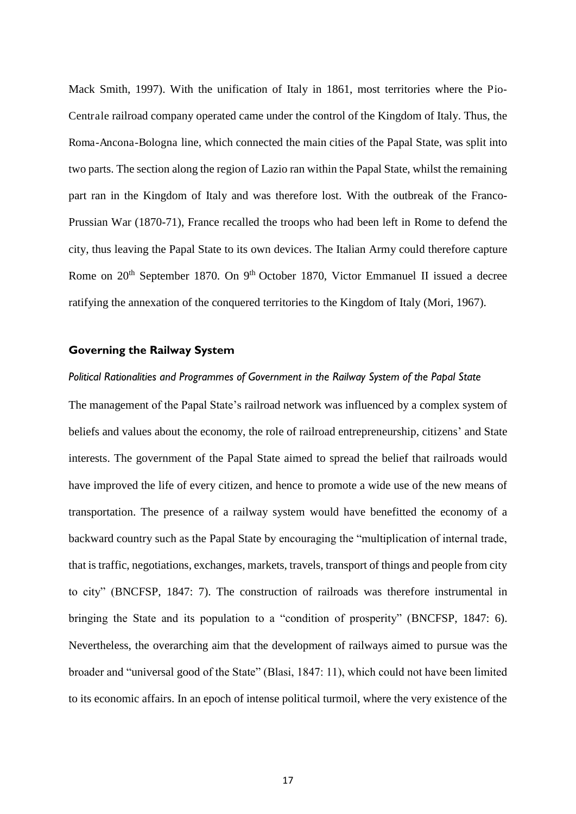Mack Smith, 1997). With the unification of Italy in 1861, most territories where the Pio-Centrale railroad company operated came under the control of the Kingdom of Italy. Thus, the Roma-Ancona-Bologna line, which connected the main cities of the Papal State, was split into two parts. The section along the region of Lazio ran within the Papal State, whilst the remaining part ran in the Kingdom of Italy and was therefore lost. With the outbreak of the Franco-Prussian War (1870-71), France recalled the troops who had been left in Rome to defend the city, thus leaving the Papal State to its own devices. The Italian Army could therefore capture Rome on 20<sup>th</sup> September 1870. On 9<sup>th</sup> October 1870, Victor Emmanuel II issued a decree ratifying the annexation of the conquered territories to the Kingdom of Italy (Mori, 1967).

#### **Governing the Railway System**

#### *Political Rationalities and Programmes of Government in the Railway System of the Papal State*

The management of the Papal State's railroad network was influenced by a complex system of beliefs and values about the economy, the role of railroad entrepreneurship, citizens' and State interests. The government of the Papal State aimed to spread the belief that railroads would have improved the life of every citizen, and hence to promote a wide use of the new means of transportation. The presence of a railway system would have benefitted the economy of a backward country such as the Papal State by encouraging the "multiplication of internal trade, that is traffic, negotiations, exchanges, markets, travels, transport of things and people from city to city" (BNCFSP, 1847: 7). The construction of railroads was therefore instrumental in bringing the State and its population to a "condition of prosperity" (BNCFSP, 1847: 6). Nevertheless, the overarching aim that the development of railways aimed to pursue was the broader and "universal good of the State" (Blasi, 1847: 11), which could not have been limited to its economic affairs. In an epoch of intense political turmoil, where the very existence of the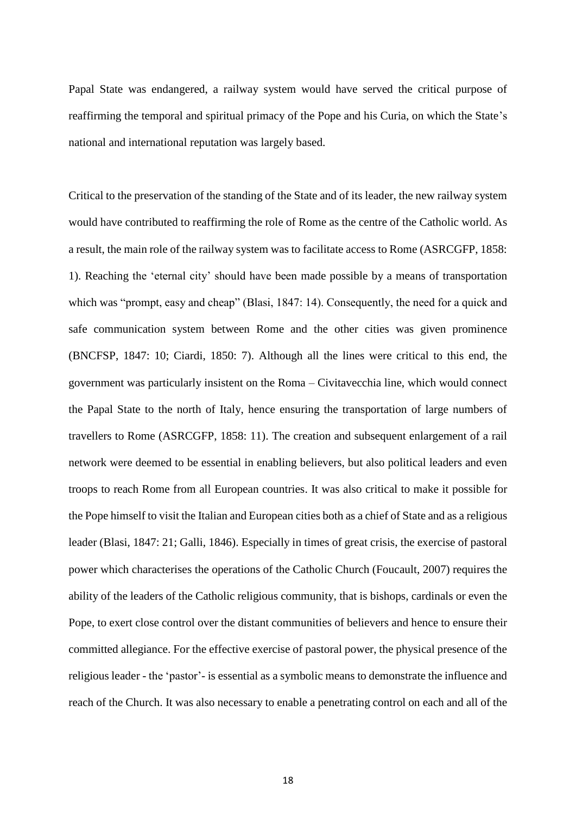Papal State was endangered, a railway system would have served the critical purpose of reaffirming the temporal and spiritual primacy of the Pope and his Curia, on which the State's national and international reputation was largely based.

Critical to the preservation of the standing of the State and of its leader, the new railway system would have contributed to reaffirming the role of Rome as the centre of the Catholic world. As a result, the main role of the railway system was to facilitate access to Rome (ASRCGFP, 1858: 1). Reaching the 'eternal city' should have been made possible by a means of transportation which was "prompt, easy and cheap" (Blasi, 1847: 14). Consequently, the need for a quick and safe communication system between Rome and the other cities was given prominence (BNCFSP, 1847: 10; Ciardi, 1850: 7). Although all the lines were critical to this end, the government was particularly insistent on the Roma – Civitavecchia line, which would connect the Papal State to the north of Italy, hence ensuring the transportation of large numbers of travellers to Rome (ASRCGFP, 1858: 11). The creation and subsequent enlargement of a rail network were deemed to be essential in enabling believers, but also political leaders and even troops to reach Rome from all European countries. It was also critical to make it possible for the Pope himself to visit the Italian and European cities both as a chief of State and as a religious leader (Blasi, 1847: 21; Galli, 1846). Especially in times of great crisis, the exercise of pastoral power which characterises the operations of the Catholic Church (Foucault, 2007) requires the ability of the leaders of the Catholic religious community, that is bishops, cardinals or even the Pope, to exert close control over the distant communities of believers and hence to ensure their committed allegiance. For the effective exercise of pastoral power, the physical presence of the religious leader - the 'pastor'- is essential as a symbolic means to demonstrate the influence and reach of the Church. It was also necessary to enable a penetrating control on each and all of the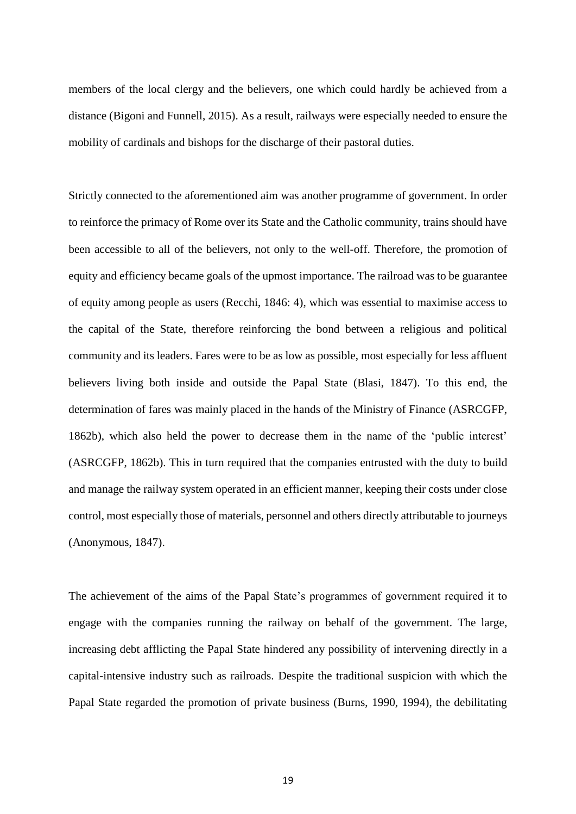members of the local clergy and the believers, one which could hardly be achieved from a distance (Bigoni and Funnell, 2015). As a result, railways were especially needed to ensure the mobility of cardinals and bishops for the discharge of their pastoral duties.

Strictly connected to the aforementioned aim was another programme of government. In order to reinforce the primacy of Rome over its State and the Catholic community, trains should have been accessible to all of the believers, not only to the well-off. Therefore, the promotion of equity and efficiency became goals of the upmost importance. The railroad was to be guarantee of equity among people as users (Recchi, 1846: 4), which was essential to maximise access to the capital of the State, therefore reinforcing the bond between a religious and political community and its leaders. Fares were to be as low as possible, most especially for less affluent believers living both inside and outside the Papal State (Blasi, 1847). To this end, the determination of fares was mainly placed in the hands of the Ministry of Finance (ASRCGFP, 1862b), which also held the power to decrease them in the name of the 'public interest' (ASRCGFP, 1862b). This in turn required that the companies entrusted with the duty to build and manage the railway system operated in an efficient manner, keeping their costs under close control, most especially those of materials, personnel and others directly attributable to journeys (Anonymous, 1847).

The achievement of the aims of the Papal State's programmes of government required it to engage with the companies running the railway on behalf of the government. The large, increasing debt afflicting the Papal State hindered any possibility of intervening directly in a capital-intensive industry such as railroads. Despite the traditional suspicion with which the Papal State regarded the promotion of private business (Burns, 1990, 1994), the debilitating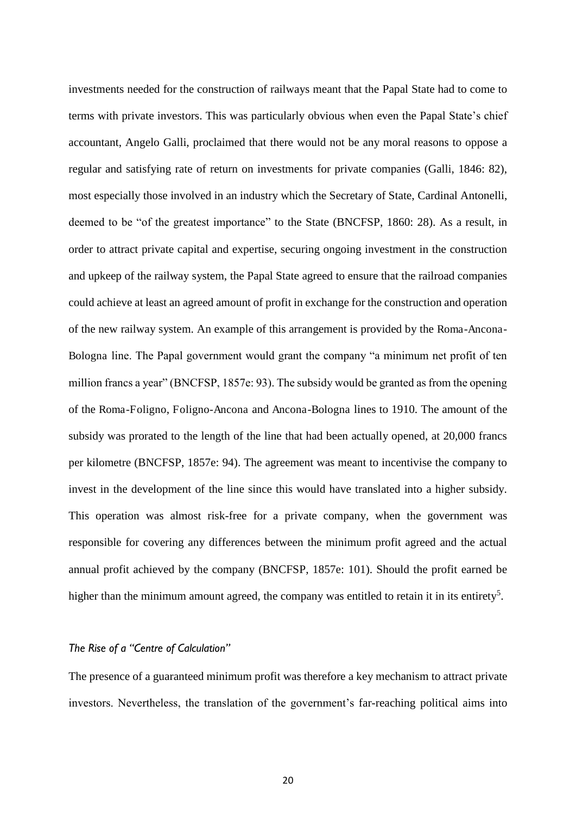investments needed for the construction of railways meant that the Papal State had to come to terms with private investors. This was particularly obvious when even the Papal State's chief accountant, Angelo Galli, proclaimed that there would not be any moral reasons to oppose a regular and satisfying rate of return on investments for private companies (Galli, 1846: 82), most especially those involved in an industry which the Secretary of State, Cardinal Antonelli, deemed to be "of the greatest importance" to the State (BNCFSP, 1860: 28). As a result, in order to attract private capital and expertise, securing ongoing investment in the construction and upkeep of the railway system, the Papal State agreed to ensure that the railroad companies could achieve at least an agreed amount of profit in exchange for the construction and operation of the new railway system. An example of this arrangement is provided by the Roma-Ancona-Bologna line. The Papal government would grant the company "a minimum net profit of ten million francs a year" (BNCFSP, 1857e: 93). The subsidy would be granted as from the opening of the Roma-Foligno, Foligno-Ancona and Ancona-Bologna lines to 1910. The amount of the subsidy was prorated to the length of the line that had been actually opened, at 20,000 francs per kilometre (BNCFSP, 1857e: 94). The agreement was meant to incentivise the company to invest in the development of the line since this would have translated into a higher subsidy. This operation was almost risk-free for a private company, when the government was responsible for covering any differences between the minimum profit agreed and the actual annual profit achieved by the company (BNCFSP, 1857e: 101). Should the profit earned be higher than the minimum amount agreed, the company was entitled to retain it in its entirety<sup>5</sup>.

#### *The Rise of a "Centre of Calculation"*

The presence of a guaranteed minimum profit was therefore a key mechanism to attract private investors. Nevertheless, the translation of the government's far-reaching political aims into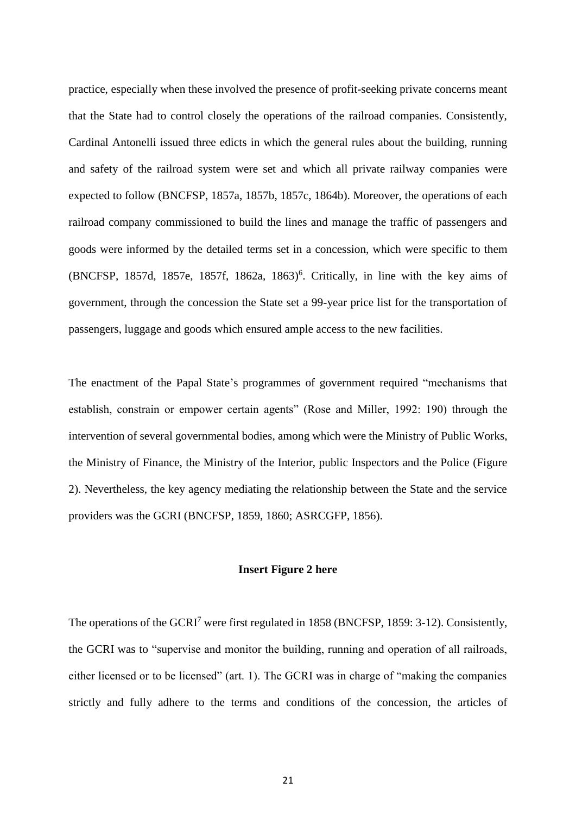practice, especially when these involved the presence of profit-seeking private concerns meant that the State had to control closely the operations of the railroad companies. Consistently, Cardinal Antonelli issued three edicts in which the general rules about the building, running and safety of the railroad system were set and which all private railway companies were expected to follow (BNCFSP, 1857a, 1857b, 1857c, 1864b). Moreover, the operations of each railroad company commissioned to build the lines and manage the traffic of passengers and goods were informed by the detailed terms set in a concession, which were specific to them (BNCFSP, 1857d, 1857e, 1857f, 1862a, 1863)<sup>6</sup>. Critically, in line with the key aims of government, through the concession the State set a 99-year price list for the transportation of passengers, luggage and goods which ensured ample access to the new facilities.

The enactment of the Papal State's programmes of government required "mechanisms that establish, constrain or empower certain agents" (Rose and Miller, 1992: 190) through the intervention of several governmental bodies, among which were the Ministry of Public Works, the Ministry of Finance, the Ministry of the Interior, public Inspectors and the Police (Figure 2). Nevertheless, the key agency mediating the relationship between the State and the service providers was the GCRI (BNCFSP, 1859, 1860; ASRCGFP, 1856).

#### **Insert Figure 2 here**

The operations of the GCRI<sup>7</sup> were first regulated in 1858 (BNCFSP, 1859: 3-12). Consistently, the GCRI was to "supervise and monitor the building, running and operation of all railroads, either licensed or to be licensed" (art. 1). The GCRI was in charge of "making the companies strictly and fully adhere to the terms and conditions of the concession, the articles of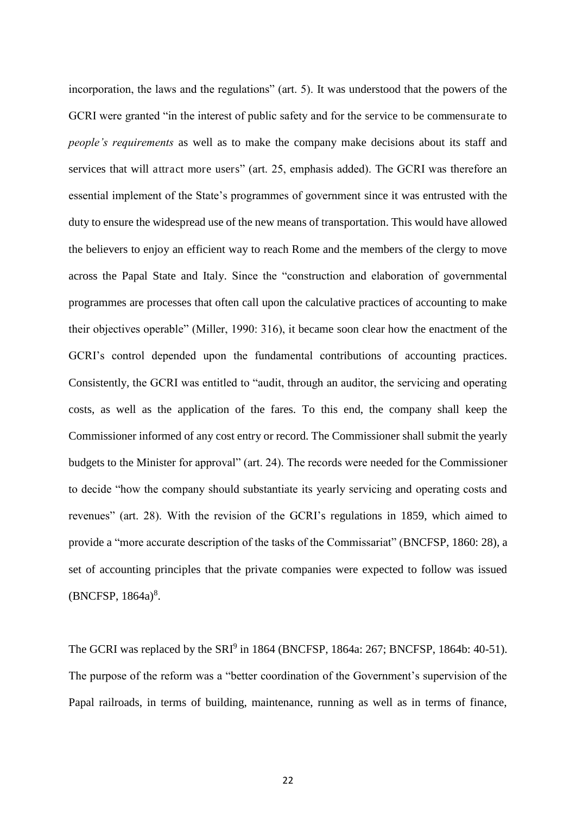incorporation, the laws and the regulations" (art. 5). It was understood that the powers of the GCRI were granted "in the interest of public safety and for the service to be commensurate to *people's requirements* as well as to make the company make decisions about its staff and services that will attract more users" (art. 25, emphasis added). The GCRI was therefore an essential implement of the State's programmes of government since it was entrusted with the duty to ensure the widespread use of the new means of transportation. This would have allowed the believers to enjoy an efficient way to reach Rome and the members of the clergy to move across the Papal State and Italy. Since the "construction and elaboration of governmental programmes are processes that often call upon the calculative practices of accounting to make their objectives operable" (Miller, 1990: 316), it became soon clear how the enactment of the GCRI's control depended upon the fundamental contributions of accounting practices. Consistently, the GCRI was entitled to "audit, through an auditor, the servicing and operating costs, as well as the application of the fares. To this end, the company shall keep the Commissioner informed of any cost entry or record. The Commissioner shall submit the yearly budgets to the Minister for approval" (art. 24). The records were needed for the Commissioner to decide "how the company should substantiate its yearly servicing and operating costs and revenues" (art. 28). With the revision of the GCRI's regulations in 1859, which aimed to provide a "more accurate description of the tasks of the Commissariat" (BNCFSP, 1860: 28), a set of accounting principles that the private companies were expected to follow was issued  $(BNCFSP, 1864a)^8$ .

The GCRI was replaced by the  $SRI^9$  in 1864 (BNCFSP, 1864a: 267; BNCFSP, 1864b: 40-51). The purpose of the reform was a "better coordination of the Government's supervision of the Papal railroads, in terms of building, maintenance, running as well as in terms of finance,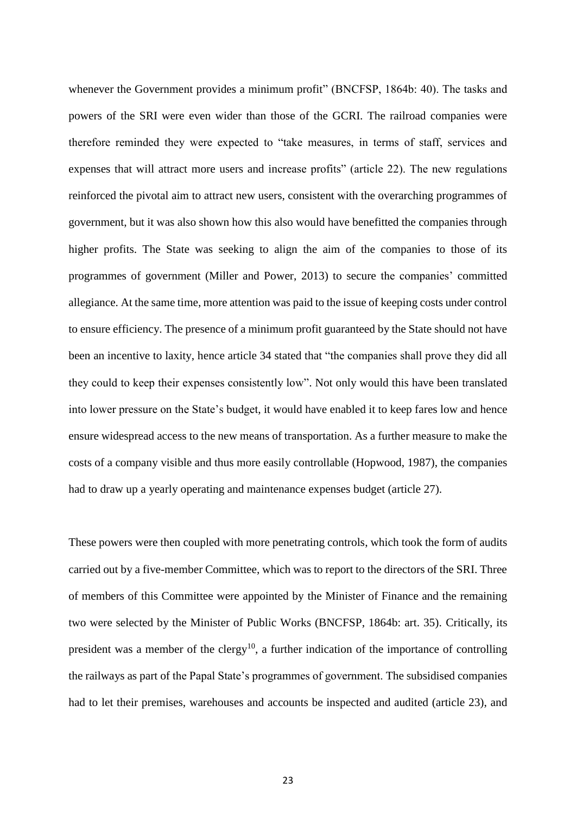whenever the Government provides a minimum profit" (BNCFSP, 1864b: 40). The tasks and powers of the SRI were even wider than those of the GCRI. The railroad companies were therefore reminded they were expected to "take measures, in terms of staff, services and expenses that will attract more users and increase profits" (article 22). The new regulations reinforced the pivotal aim to attract new users, consistent with the overarching programmes of government, but it was also shown how this also would have benefitted the companies through higher profits. The State was seeking to align the aim of the companies to those of its programmes of government (Miller and Power, 2013) to secure the companies' committed allegiance. At the same time, more attention was paid to the issue of keeping costs under control to ensure efficiency. The presence of a minimum profit guaranteed by the State should not have been an incentive to laxity, hence article 34 stated that "the companies shall prove they did all they could to keep their expenses consistently low". Not only would this have been translated into lower pressure on the State's budget, it would have enabled it to keep fares low and hence ensure widespread access to the new means of transportation. As a further measure to make the costs of a company visible and thus more easily controllable (Hopwood, 1987), the companies had to draw up a yearly operating and maintenance expenses budget (article 27).

These powers were then coupled with more penetrating controls, which took the form of audits carried out by a five-member Committee, which was to report to the directors of the SRI. Three of members of this Committee were appointed by the Minister of Finance and the remaining two were selected by the Minister of Public Works (BNCFSP, 1864b: art. 35). Critically, its president was a member of the clergy<sup>10</sup>, a further indication of the importance of controlling the railways as part of the Papal State's programmes of government. The subsidised companies had to let their premises, warehouses and accounts be inspected and audited (article 23), and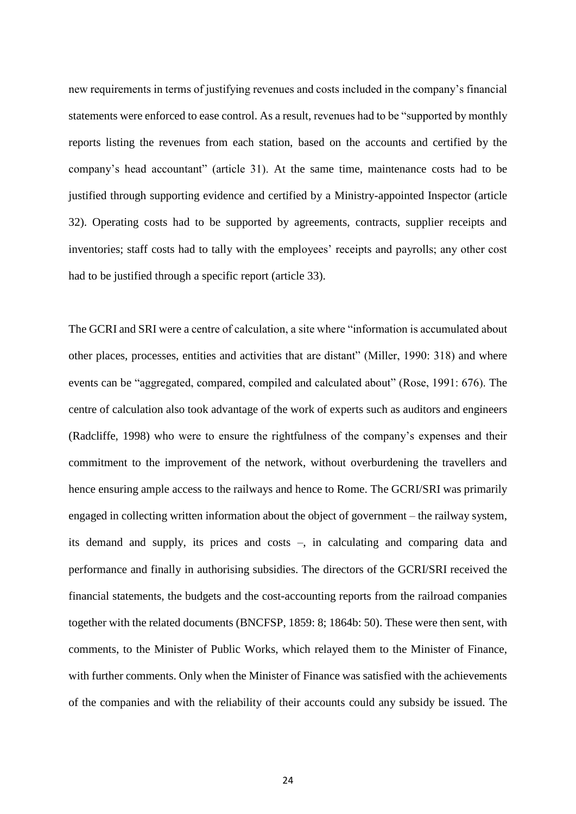new requirements in terms of justifying revenues and costs included in the company's financial statements were enforced to ease control. As a result, revenues had to be "supported by monthly reports listing the revenues from each station, based on the accounts and certified by the company's head accountant" (article 31). At the same time, maintenance costs had to be justified through supporting evidence and certified by a Ministry-appointed Inspector (article 32). Operating costs had to be supported by agreements, contracts, supplier receipts and inventories; staff costs had to tally with the employees' receipts and payrolls; any other cost had to be justified through a specific report (article 33).

The GCRI and SRI were a centre of calculation, a site where "information is accumulated about other places, processes, entities and activities that are distant" (Miller, 1990: 318) and where events can be "aggregated, compared, compiled and calculated about" (Rose, 1991: 676). The centre of calculation also took advantage of the work of experts such as auditors and engineers (Radcliffe, 1998) who were to ensure the rightfulness of the company's expenses and their commitment to the improvement of the network, without overburdening the travellers and hence ensuring ample access to the railways and hence to Rome. The GCRI/SRI was primarily engaged in collecting written information about the object of government – the railway system, its demand and supply, its prices and costs –, in calculating and comparing data and performance and finally in authorising subsidies. The directors of the GCRI/SRI received the financial statements, the budgets and the cost-accounting reports from the railroad companies together with the related documents (BNCFSP, 1859: 8; 1864b: 50). These were then sent, with comments, to the Minister of Public Works, which relayed them to the Minister of Finance, with further comments. Only when the Minister of Finance was satisfied with the achievements of the companies and with the reliability of their accounts could any subsidy be issued. The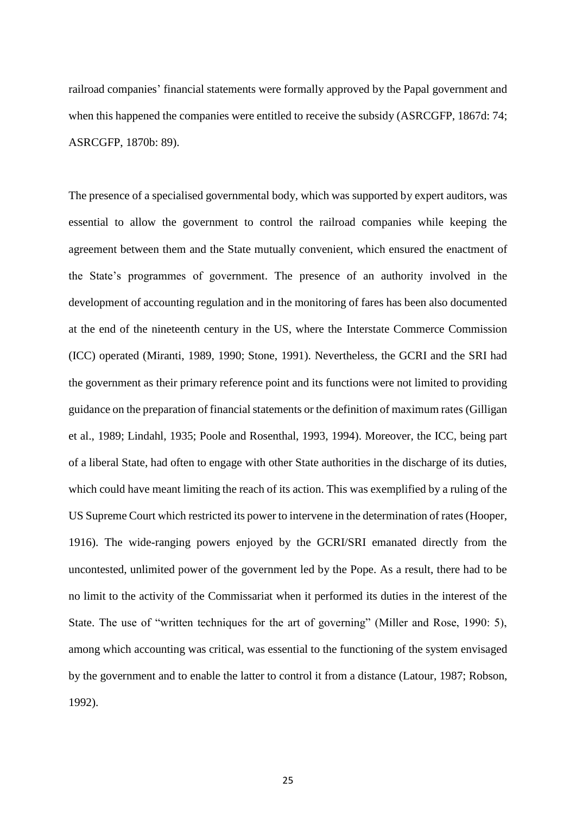railroad companies' financial statements were formally approved by the Papal government and when this happened the companies were entitled to receive the subsidy (ASRCGFP, 1867d: 74; ASRCGFP, 1870b: 89).

The presence of a specialised governmental body, which was supported by expert auditors, was essential to allow the government to control the railroad companies while keeping the agreement between them and the State mutually convenient, which ensured the enactment of the State's programmes of government. The presence of an authority involved in the development of accounting regulation and in the monitoring of fares has been also documented at the end of the nineteenth century in the US, where the Interstate Commerce Commission (ICC) operated (Miranti, 1989, 1990; Stone, 1991). Nevertheless, the GCRI and the SRI had the government as their primary reference point and its functions were not limited to providing guidance on the preparation of financial statements or the definition of maximum rates (Gilligan et al., 1989; Lindahl, 1935; Poole and Rosenthal, 1993, 1994). Moreover, the ICC, being part of a liberal State, had often to engage with other State authorities in the discharge of its duties, which could have meant limiting the reach of its action. This was exemplified by a ruling of the US Supreme Court which restricted its power to intervene in the determination of rates (Hooper, 1916). The wide-ranging powers enjoyed by the GCRI/SRI emanated directly from the uncontested, unlimited power of the government led by the Pope. As a result, there had to be no limit to the activity of the Commissariat when it performed its duties in the interest of the State. The use of "written techniques for the art of governing" (Miller and Rose, 1990: 5), among which accounting was critical, was essential to the functioning of the system envisaged by the government and to enable the latter to control it from a distance (Latour, 1987; Robson, 1992).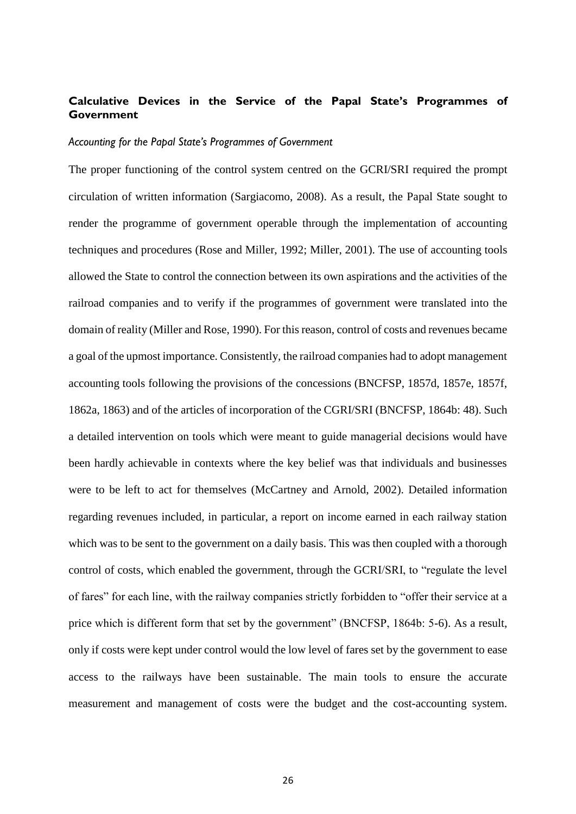#### **Calculative Devices in the Service of the Papal State's Programmes of Government**

#### *Accounting for the Papal State's Programmes of Government*

The proper functioning of the control system centred on the GCRI/SRI required the prompt circulation of written information (Sargiacomo, 2008). As a result, the Papal State sought to render the programme of government operable through the implementation of accounting techniques and procedures (Rose and Miller, 1992; Miller, 2001). The use of accounting tools allowed the State to control the connection between its own aspirations and the activities of the railroad companies and to verify if the programmes of government were translated into the domain of reality (Miller and Rose, 1990). For this reason, control of costs and revenues became a goal of the upmost importance. Consistently, the railroad companies had to adopt management accounting tools following the provisions of the concessions (BNCFSP, 1857d, 1857e, 1857f, 1862a, 1863) and of the articles of incorporation of the CGRI/SRI (BNCFSP, 1864b: 48). Such a detailed intervention on tools which were meant to guide managerial decisions would have been hardly achievable in contexts where the key belief was that individuals and businesses were to be left to act for themselves (McCartney and Arnold, 2002). Detailed information regarding revenues included, in particular, a report on income earned in each railway station which was to be sent to the government on a daily basis. This was then coupled with a thorough control of costs, which enabled the government, through the GCRI/SRI, to "regulate the level of fares" for each line, with the railway companies strictly forbidden to "offer their service at a price which is different form that set by the government" (BNCFSP, 1864b: 5-6). As a result, only if costs were kept under control would the low level of fares set by the government to ease access to the railways have been sustainable. The main tools to ensure the accurate measurement and management of costs were the budget and the cost-accounting system.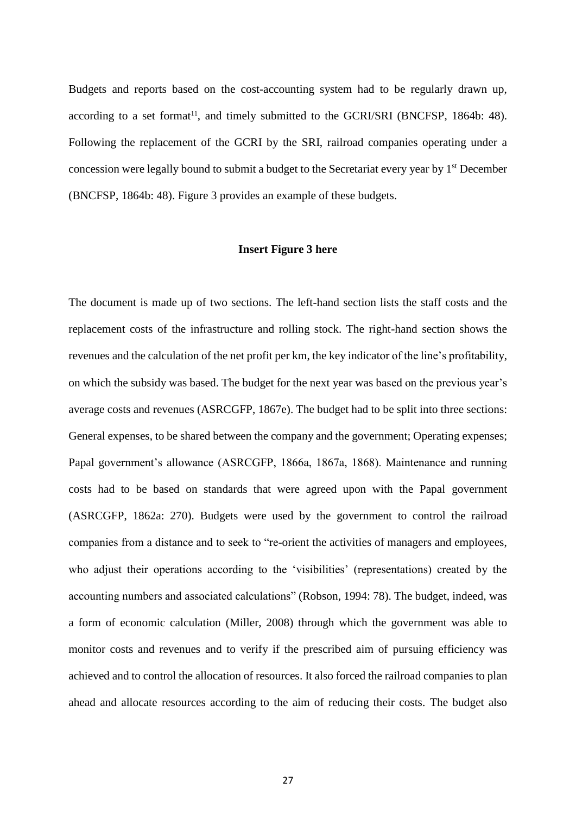Budgets and reports based on the cost-accounting system had to be regularly drawn up, according to a set format<sup>11</sup>, and timely submitted to the GCRI/SRI (BNCFSP, 1864b: 48). Following the replacement of the GCRI by the SRI, railroad companies operating under a concession were legally bound to submit a budget to the Secretariat every year by 1st December (BNCFSP, 1864b: 48). Figure 3 provides an example of these budgets.

#### **Insert Figure 3 here**

The document is made up of two sections. The left-hand section lists the staff costs and the replacement costs of the infrastructure and rolling stock. The right-hand section shows the revenues and the calculation of the net profit per km, the key indicator of the line's profitability, on which the subsidy was based. The budget for the next year was based on the previous year's average costs and revenues (ASRCGFP, 1867e). The budget had to be split into three sections: General expenses, to be shared between the company and the government; Operating expenses; Papal government's allowance (ASRCGFP, 1866a, 1867a, 1868). Maintenance and running costs had to be based on standards that were agreed upon with the Papal government (ASRCGFP, 1862a: 270). Budgets were used by the government to control the railroad companies from a distance and to seek to "re-orient the activities of managers and employees, who adjust their operations according to the 'visibilities' (representations) created by the accounting numbers and associated calculations" (Robson, 1994: 78). The budget, indeed, was a form of economic calculation (Miller, 2008) through which the government was able to monitor costs and revenues and to verify if the prescribed aim of pursuing efficiency was achieved and to control the allocation of resources. It also forced the railroad companies to plan ahead and allocate resources according to the aim of reducing their costs. The budget also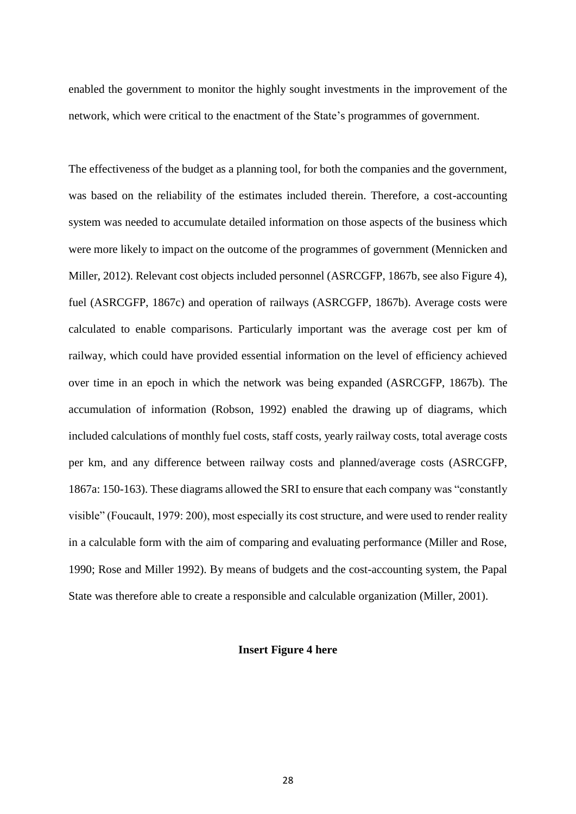enabled the government to monitor the highly sought investments in the improvement of the network, which were critical to the enactment of the State's programmes of government.

The effectiveness of the budget as a planning tool, for both the companies and the government, was based on the reliability of the estimates included therein. Therefore, a cost-accounting system was needed to accumulate detailed information on those aspects of the business which were more likely to impact on the outcome of the programmes of government (Mennicken and Miller, 2012). Relevant cost objects included personnel (ASRCGFP, 1867b, see also Figure 4), fuel (ASRCGFP, 1867c) and operation of railways (ASRCGFP, 1867b). Average costs were calculated to enable comparisons. Particularly important was the average cost per km of railway, which could have provided essential information on the level of efficiency achieved over time in an epoch in which the network was being expanded (ASRCGFP, 1867b). The accumulation of information (Robson, 1992) enabled the drawing up of diagrams, which included calculations of monthly fuel costs, staff costs, yearly railway costs, total average costs per km, and any difference between railway costs and planned/average costs (ASRCGFP, 1867a: 150-163). These diagrams allowed the SRI to ensure that each company was "constantly visible" (Foucault, 1979: 200), most especially its cost structure, and were used to render reality in a calculable form with the aim of comparing and evaluating performance (Miller and Rose, 1990; Rose and Miller 1992). By means of budgets and the cost-accounting system, the Papal State was therefore able to create a responsible and calculable organization (Miller, 2001).

#### **Insert Figure 4 here**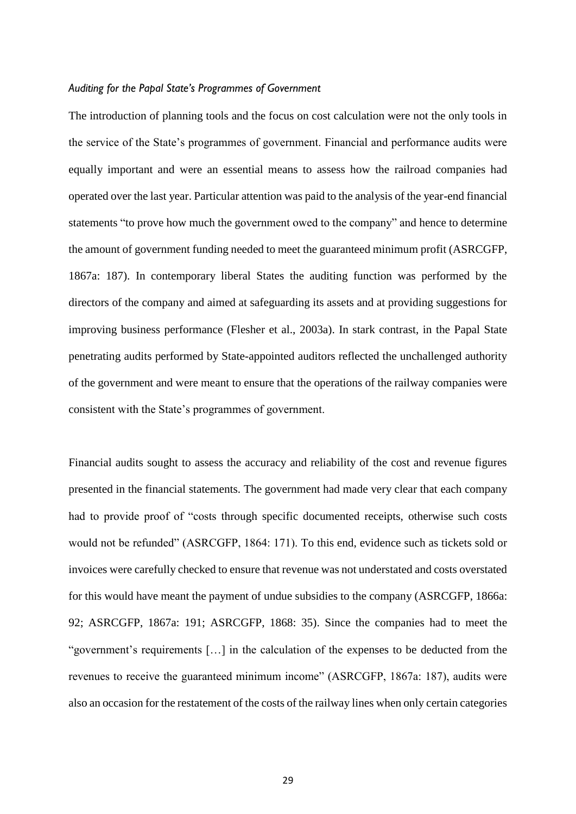#### *Auditing for the Papal State's Programmes of Government*

The introduction of planning tools and the focus on cost calculation were not the only tools in the service of the State's programmes of government. Financial and performance audits were equally important and were an essential means to assess how the railroad companies had operated over the last year. Particular attention was paid to the analysis of the year-end financial statements "to prove how much the government owed to the company" and hence to determine the amount of government funding needed to meet the guaranteed minimum profit (ASRCGFP, 1867a: 187). In contemporary liberal States the auditing function was performed by the directors of the company and aimed at safeguarding its assets and at providing suggestions for improving business performance (Flesher et al., 2003a). In stark contrast, in the Papal State penetrating audits performed by State-appointed auditors reflected the unchallenged authority of the government and were meant to ensure that the operations of the railway companies were consistent with the State's programmes of government.

Financial audits sought to assess the accuracy and reliability of the cost and revenue figures presented in the financial statements. The government had made very clear that each company had to provide proof of "costs through specific documented receipts, otherwise such costs would not be refunded" (ASRCGFP, 1864: 171). To this end, evidence such as tickets sold or invoices were carefully checked to ensure that revenue was not understated and costs overstated for this would have meant the payment of undue subsidies to the company (ASRCGFP, 1866a: 92; ASRCGFP, 1867a: 191; ASRCGFP, 1868: 35). Since the companies had to meet the "government's requirements […] in the calculation of the expenses to be deducted from the revenues to receive the guaranteed minimum income" (ASRCGFP, 1867a: 187), audits were also an occasion for the restatement of the costs of the railway lines when only certain categories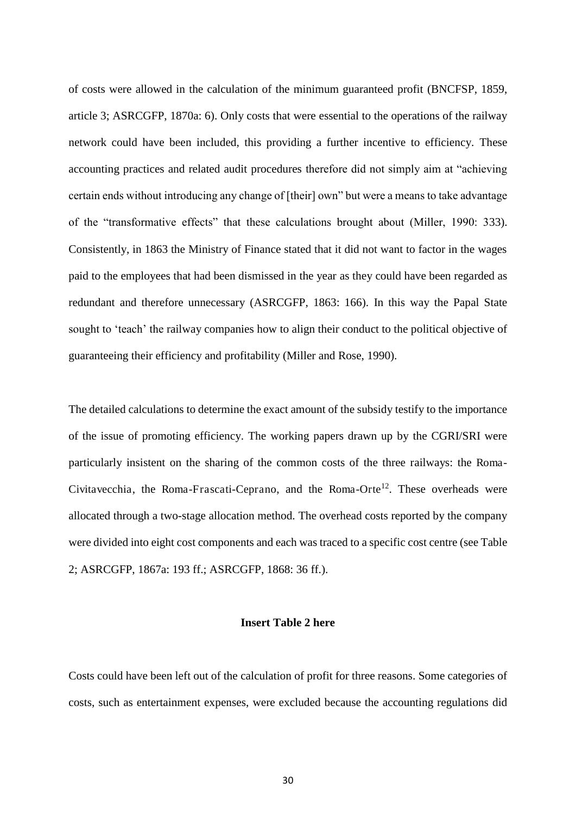of costs were allowed in the calculation of the minimum guaranteed profit (BNCFSP, 1859, article 3; ASRCGFP, 1870a: 6). Only costs that were essential to the operations of the railway network could have been included, this providing a further incentive to efficiency. These accounting practices and related audit procedures therefore did not simply aim at "achieving certain ends without introducing any change of [their] own" but were a means to take advantage of the "transformative effects" that these calculations brought about (Miller, 1990: 333). Consistently, in 1863 the Ministry of Finance stated that it did not want to factor in the wages paid to the employees that had been dismissed in the year as they could have been regarded as redundant and therefore unnecessary (ASRCGFP, 1863: 166). In this way the Papal State sought to 'teach' the railway companies how to align their conduct to the political objective of guaranteeing their efficiency and profitability (Miller and Rose, 1990).

The detailed calculations to determine the exact amount of the subsidy testify to the importance of the issue of promoting efficiency. The working papers drawn up by the CGRI/SRI were particularly insistent on the sharing of the common costs of the three railways: the Roma-Civitavecchia, the Roma-Frascati-Ceprano, and the Roma-Orte<sup>12</sup>. These overheads were allocated through a two-stage allocation method. The overhead costs reported by the company were divided into eight cost components and each was traced to a specific cost centre (see Table 2; ASRCGFP, 1867a: 193 ff.; ASRCGFP, 1868: 36 ff.).

#### **Insert Table 2 here**

Costs could have been left out of the calculation of profit for three reasons. Some categories of costs, such as entertainment expenses, were excluded because the accounting regulations did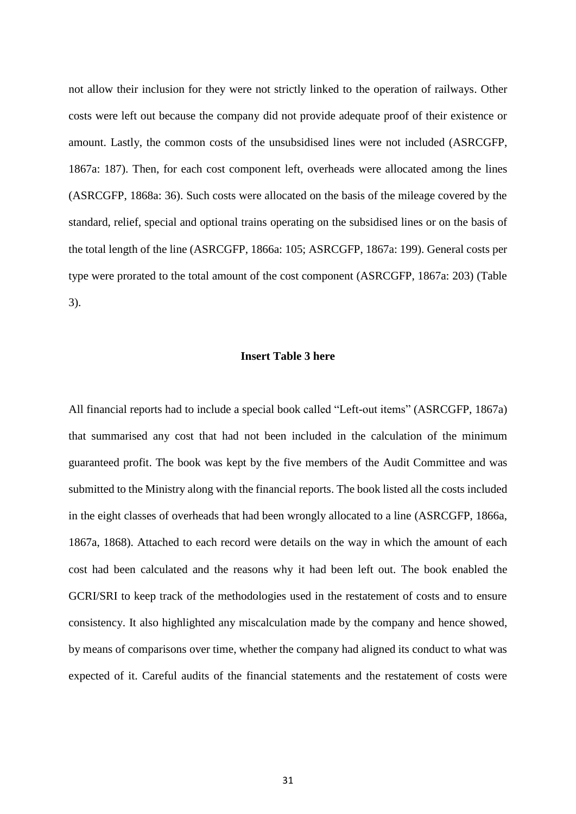not allow their inclusion for they were not strictly linked to the operation of railways. Other costs were left out because the company did not provide adequate proof of their existence or amount. Lastly, the common costs of the unsubsidised lines were not included (ASRCGFP, 1867a: 187). Then, for each cost component left, overheads were allocated among the lines (ASRCGFP, 1868a: 36). Such costs were allocated on the basis of the mileage covered by the standard, relief, special and optional trains operating on the subsidised lines or on the basis of the total length of the line (ASRCGFP, 1866a: 105; ASRCGFP, 1867a: 199). General costs per type were prorated to the total amount of the cost component (ASRCGFP, 1867a: 203) (Table 3).

#### **Insert Table 3 here**

All financial reports had to include a special book called "Left-out items" (ASRCGFP, 1867a) that summarised any cost that had not been included in the calculation of the minimum guaranteed profit. The book was kept by the five members of the Audit Committee and was submitted to the Ministry along with the financial reports. The book listed all the costs included in the eight classes of overheads that had been wrongly allocated to a line (ASRCGFP, 1866a, 1867a, 1868). Attached to each record were details on the way in which the amount of each cost had been calculated and the reasons why it had been left out. The book enabled the GCRI/SRI to keep track of the methodologies used in the restatement of costs and to ensure consistency. It also highlighted any miscalculation made by the company and hence showed, by means of comparisons over time, whether the company had aligned its conduct to what was expected of it. Careful audits of the financial statements and the restatement of costs were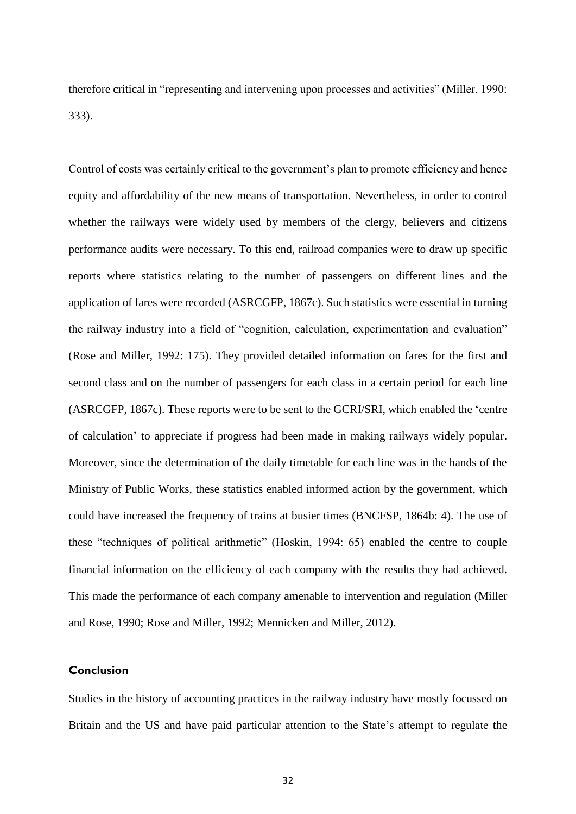therefore critical in "representing and intervening upon processes and activities" (Miller, 1990: 333).

Control of costs was certainly critical to the government's plan to promote efficiency and hence equity and affordability of the new means of transportation. Nevertheless, in order to control whether the railways were widely used by members of the clergy, believers and citizens performance audits were necessary. To this end, railroad companies were to draw up specific reports where statistics relating to the number of passengers on different lines and the application of fares were recorded (ASRCGFP, 1867c). Such statistics were essential in turning the railway industry into a field of "cognition, calculation, experimentation and evaluation" (Rose and Miller, 1992: 175). They provided detailed information on fares for the first and second class and on the number of passengers for each class in a certain period for each line (ASRCGFP, 1867c). These reports were to be sent to the GCRI/SRI, which enabled the 'centre of calculation' to appreciate if progress had been made in making railways widely popular. Moreover, since the determination of the daily timetable for each line was in the hands of the Ministry of Public Works, these statistics enabled informed action by the government, which could have increased the frequency of trains at busier times (BNCFSP, 1864b: 4). The use of these "techniques of political arithmetic" (Hoskin, 1994: 65) enabled the centre to couple financial information on the efficiency of each company with the results they had achieved. This made the performance of each company amenable to intervention and regulation (Miller and Rose, 1990; Rose and Miller, 1992; Mennicken and Miller, 2012).

#### **Conclusion**

Studies in the history of accounting practices in the railway industry have mostly focussed on Britain and the US and have paid particular attention to the State's attempt to regulate the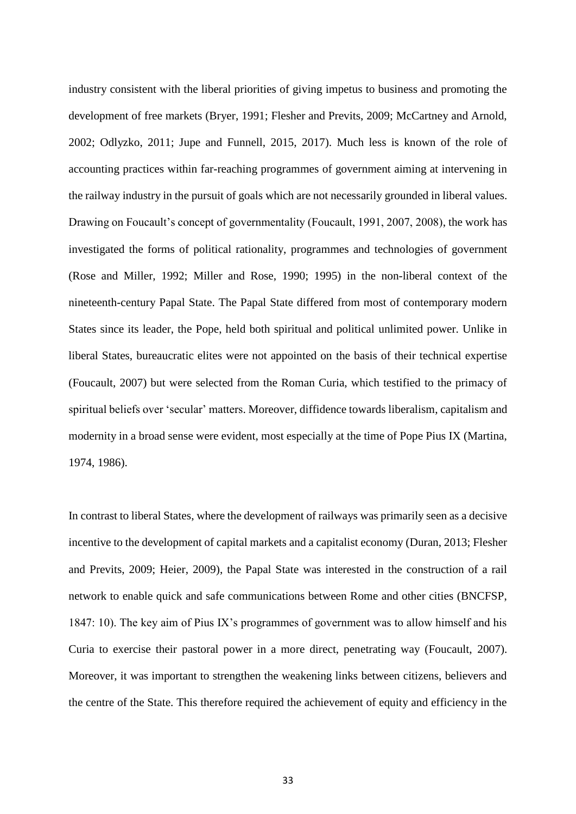industry consistent with the liberal priorities of giving impetus to business and promoting the development of free markets (Bryer, 1991; Flesher and Previts, 2009; McCartney and Arnold, 2002; Odlyzko, 2011; Jupe and Funnell, 2015, 2017). Much less is known of the role of accounting practices within far-reaching programmes of government aiming at intervening in the railway industry in the pursuit of goals which are not necessarily grounded in liberal values. Drawing on Foucault's concept of governmentality (Foucault, 1991, 2007, 2008), the work has investigated the forms of political rationality, programmes and technologies of government (Rose and Miller, 1992; Miller and Rose, 1990; 1995) in the non-liberal context of the nineteenth-century Papal State. The Papal State differed from most of contemporary modern States since its leader, the Pope, held both spiritual and political unlimited power. Unlike in liberal States, bureaucratic elites were not appointed on the basis of their technical expertise (Foucault, 2007) but were selected from the Roman Curia, which testified to the primacy of spiritual beliefs over 'secular' matters. Moreover, diffidence towards liberalism, capitalism and modernity in a broad sense were evident, most especially at the time of Pope Pius IX (Martina, 1974, 1986).

In contrast to liberal States, where the development of railways was primarily seen as a decisive incentive to the development of capital markets and a capitalist economy (Duran, 2013; Flesher and Previts, 2009; Heier, 2009), the Papal State was interested in the construction of a rail network to enable quick and safe communications between Rome and other cities (BNCFSP, 1847: 10). The key aim of Pius IX's programmes of government was to allow himself and his Curia to exercise their pastoral power in a more direct, penetrating way (Foucault, 2007). Moreover, it was important to strengthen the weakening links between citizens, believers and the centre of the State. This therefore required the achievement of equity and efficiency in the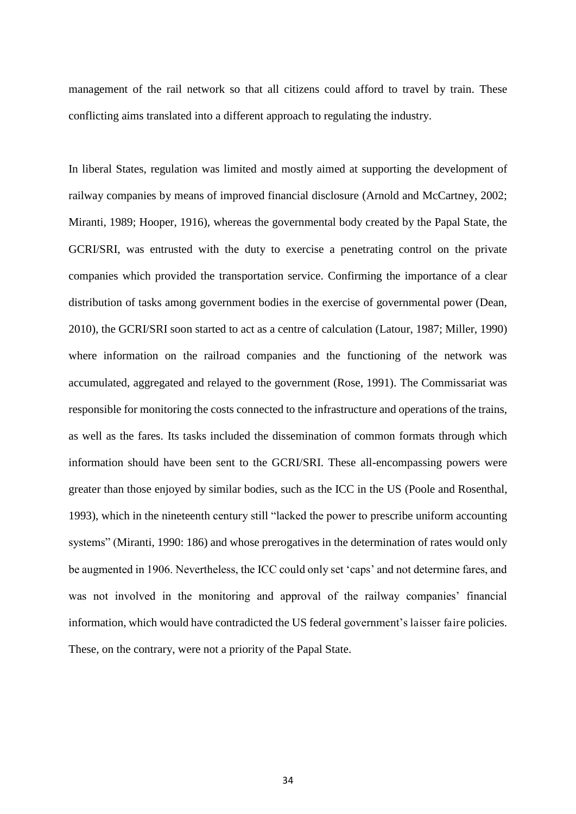management of the rail network so that all citizens could afford to travel by train. These conflicting aims translated into a different approach to regulating the industry.

In liberal States, regulation was limited and mostly aimed at supporting the development of railway companies by means of improved financial disclosure (Arnold and McCartney, 2002; Miranti, 1989; Hooper, 1916), whereas the governmental body created by the Papal State, the GCRI/SRI, was entrusted with the duty to exercise a penetrating control on the private companies which provided the transportation service. Confirming the importance of a clear distribution of tasks among government bodies in the exercise of governmental power (Dean, 2010), the GCRI/SRI soon started to act as a centre of calculation (Latour, 1987; Miller, 1990) where information on the railroad companies and the functioning of the network was accumulated, aggregated and relayed to the government (Rose, 1991). The Commissariat was responsible for monitoring the costs connected to the infrastructure and operations of the trains, as well as the fares. Its tasks included the dissemination of common formats through which information should have been sent to the GCRI/SRI. These all-encompassing powers were greater than those enjoyed by similar bodies, such as the ICC in the US (Poole and Rosenthal, 1993), which in the nineteenth century still "lacked the power to prescribe uniform accounting systems" (Miranti, 1990: 186) and whose prerogatives in the determination of rates would only be augmented in 1906. Nevertheless, the ICC could only set 'caps' and not determine fares, and was not involved in the monitoring and approval of the railway companies' financial information, which would have contradicted the US federal government's laisser faire policies. These, on the contrary, were not a priority of the Papal State.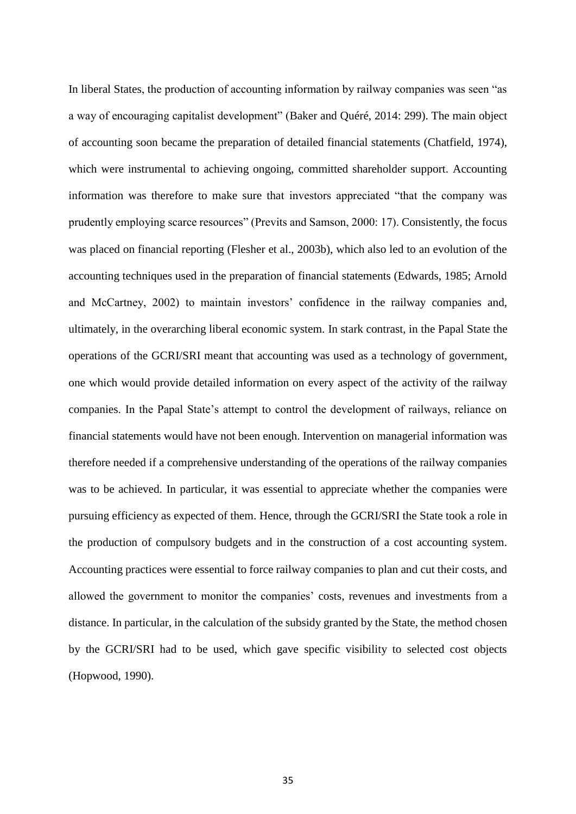In liberal States, the production of accounting information by railway companies was seen "as a way of encouraging capitalist development" (Baker and Quéré, 2014: 299). The main object of accounting soon became the preparation of detailed financial statements (Chatfield, 1974), which were instrumental to achieving ongoing, committed shareholder support. Accounting information was therefore to make sure that investors appreciated "that the company was prudently employing scarce resources" (Previts and Samson, 2000: 17). Consistently, the focus was placed on financial reporting (Flesher et al., 2003b), which also led to an evolution of the accounting techniques used in the preparation of financial statements (Edwards, 1985; Arnold and McCartney, 2002) to maintain investors' confidence in the railway companies and, ultimately, in the overarching liberal economic system. In stark contrast, in the Papal State the operations of the GCRI/SRI meant that accounting was used as a technology of government, one which would provide detailed information on every aspect of the activity of the railway companies. In the Papal State's attempt to control the development of railways, reliance on financial statements would have not been enough. Intervention on managerial information was therefore needed if a comprehensive understanding of the operations of the railway companies was to be achieved. In particular, it was essential to appreciate whether the companies were pursuing efficiency as expected of them. Hence, through the GCRI/SRI the State took a role in the production of compulsory budgets and in the construction of a cost accounting system. Accounting practices were essential to force railway companies to plan and cut their costs, and allowed the government to monitor the companies' costs, revenues and investments from a distance. In particular, in the calculation of the subsidy granted by the State, the method chosen by the GCRI/SRI had to be used, which gave specific visibility to selected cost objects (Hopwood, 1990).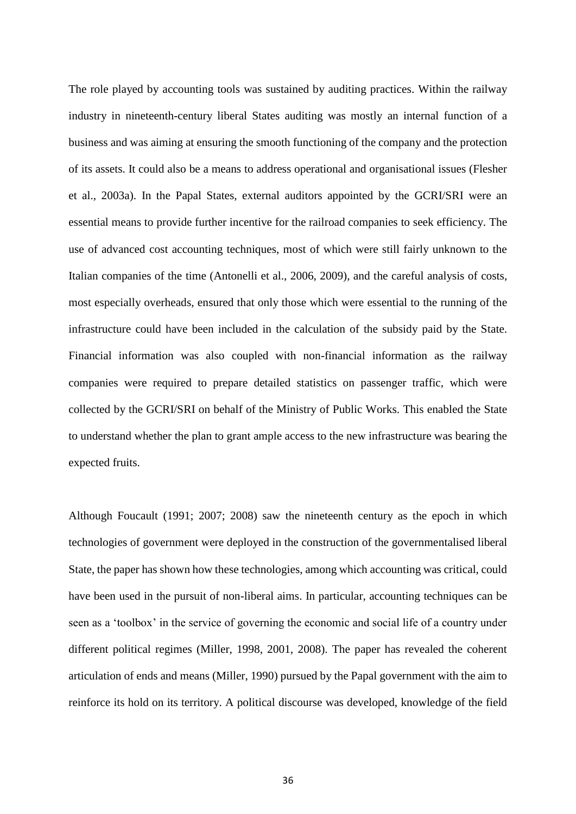The role played by accounting tools was sustained by auditing practices. Within the railway industry in nineteenth-century liberal States auditing was mostly an internal function of a business and was aiming at ensuring the smooth functioning of the company and the protection of its assets. It could also be a means to address operational and organisational issues (Flesher et al., 2003a). In the Papal States, external auditors appointed by the GCRI/SRI were an essential means to provide further incentive for the railroad companies to seek efficiency. The use of advanced cost accounting techniques, most of which were still fairly unknown to the Italian companies of the time (Antonelli et al., 2006, 2009), and the careful analysis of costs, most especially overheads, ensured that only those which were essential to the running of the infrastructure could have been included in the calculation of the subsidy paid by the State. Financial information was also coupled with non-financial information as the railway companies were required to prepare detailed statistics on passenger traffic, which were collected by the GCRI/SRI on behalf of the Ministry of Public Works. This enabled the State to understand whether the plan to grant ample access to the new infrastructure was bearing the expected fruits.

Although Foucault (1991; 2007; 2008) saw the nineteenth century as the epoch in which technologies of government were deployed in the construction of the governmentalised liberal State, the paper has shown how these technologies, among which accounting was critical, could have been used in the pursuit of non-liberal aims. In particular, accounting techniques can be seen as a 'toolbox' in the service of governing the economic and social life of a country under different political regimes (Miller, 1998, 2001, 2008). The paper has revealed the coherent articulation of ends and means (Miller, 1990) pursued by the Papal government with the aim to reinforce its hold on its territory. A political discourse was developed, knowledge of the field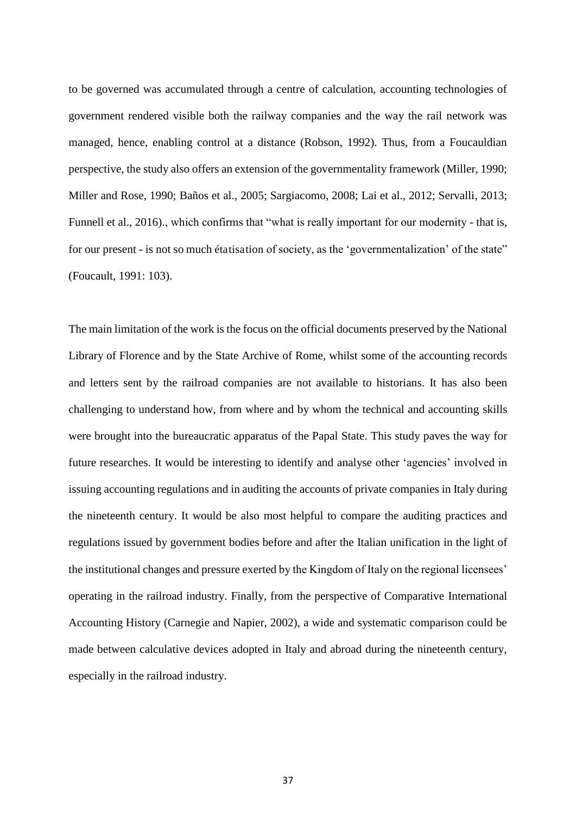to be governed was accumulated through a centre of calculation, accounting technologies of government rendered visible both the railway companies and the way the rail network was managed, hence, enabling control at a distance (Robson, 1992). Thus, from a Foucauldian perspective, the study also offers an extension of the governmentality framework (Miller, 1990; Miller and Rose, 1990; Baños et al., 2005; Sargiacomo, 2008; Lai et al., 2012; Servalli, 2013; Funnell et al., 2016)., which confirms that "what is really important for our modernity - that is, for our present - is not so much étatisation of society, as the 'governmentalization' of the state" (Foucault, 1991: 103).

The main limitation of the work is the focus on the official documents preserved by the National Library of Florence and by the State Archive of Rome, whilst some of the accounting records and letters sent by the railroad companies are not available to historians. It has also been challenging to understand how, from where and by whom the technical and accounting skills were brought into the bureaucratic apparatus of the Papal State. This study paves the way for future researches. It would be interesting to identify and analyse other 'agencies' involved in issuing accounting regulations and in auditing the accounts of private companies in Italy during the nineteenth century. It would be also most helpful to compare the auditing practices and regulations issued by government bodies before and after the Italian unification in the light of the institutional changes and pressure exerted by the Kingdom of Italy on the regional licensees' operating in the railroad industry. Finally, from the perspective of Comparative International Accounting History (Carnegie and Napier, 2002), a wide and systematic comparison could be made between calculative devices adopted in Italy and abroad during the nineteenth century, especially in the railroad industry.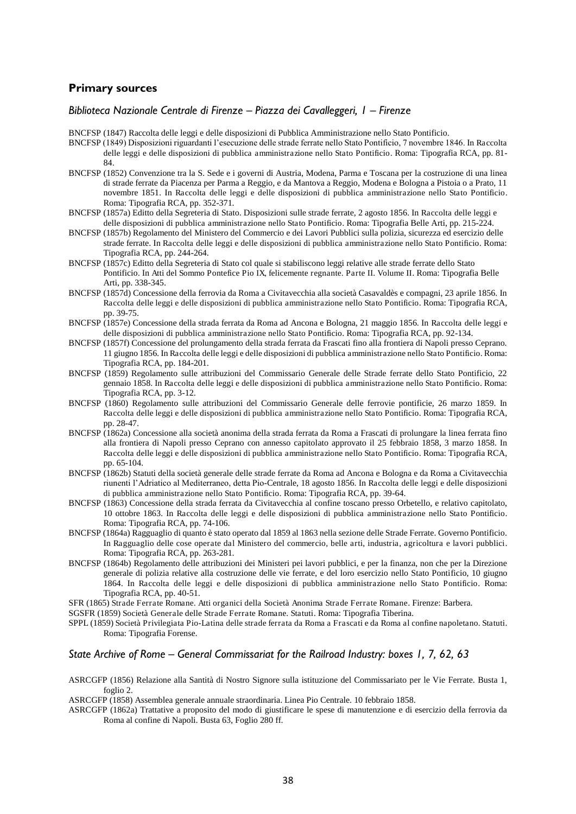#### **Primary sources**

#### *Biblioteca Nazionale Centrale di Firenze – Piazza dei Cavalleggeri, 1 – Firenze*

BNCFSP (1847) Raccolta delle leggi e delle disposizioni di Pubblica Amministrazione nello Stato Pontificio.

- BNCFSP (1849) Disposizioni riguardanti l'esecuzione delle strade ferrate nello Stato Pontificio, 7 novembre 1846. In Raccolta delle leggi e delle disposizioni di pubblica amministrazione nello Stato Pontificio. Roma: Tipografia RCA, pp. 81- 84.
- BNCFSP (1852) Convenzione tra la S. Sede e i governi di Austria, Modena, Parma e Toscana per la costruzione di una linea di strade ferrate da Piacenza per Parma a Reggio, e da Mantova a Reggio, Modena e Bologna a Pistoia o a Prato, 11 novembre 1851. In Raccolta delle leggi e delle disposizioni di pubblica amministrazione nello Stato Pontificio. Roma: Tipografia RCA, pp. 352-371.
- BNCFSP (1857a) Editto della Segreteria di Stato. Disposizioni sulle strade ferrate, 2 agosto 1856. In Raccolta delle leggi e delle disposizioni di pubblica amministrazione nello Stato Pontificio. Roma: Tipografia Belle Arti, pp. 215-224.
- BNCFSP (1857b) Regolamento del Ministero del Commercio e dei Lavori Pubblici sulla polizia, sicurezza ed esercizio delle strade ferrate. In Raccolta delle leggi e delle disposizioni di pubblica amministrazione nello Stato Pontificio. Roma: Tipografia RCA, pp. 244-264.
- BNCFSP (1857c) Editto della Segreteria di Stato col quale si stabiliscono leggi relative alle strade ferrate dello Stato Pontificio. In Atti del Sommo Pontefice Pio IX, felicemente regnante. Parte II. Volume II. Roma: Tipografia Belle Arti, pp. 338-345.
- BNCFSP (1857d) Concessione della ferrovia da Roma a Civitavecchia alla società Casavaldès e compagni, 23 aprile 1856. In Raccolta delle leggi e delle disposizioni di pubblica amministrazione nello Stato Pontificio. Roma: Tipografia RCA, pp. 39-75.
- BNCFSP (1857e) Concessione della strada ferrata da Roma ad Ancona e Bologna, 21 maggio 1856. In Raccolta delle leggi e delle disposizioni di pubblica amministrazione nello Stato Pontificio. Roma: Tipografia RCA, pp. 92-134.
- BNCFSP (1857f) Concessione del prolungamento della strada ferrata da Frascati fino alla frontiera di Napoli presso Ceprano. 11 giugno 1856. In Raccolta delle leggi e delle disposizioni di pubblica amministrazione nello Stato Pontificio. Roma: Tipografia RCA, pp. 184-201.
- BNCFSP (1859) Regolamento sulle attribuzioni del Commissario Generale delle Strade ferrate dello Stato Pontificio, 22 gennaio 1858. In Raccolta delle leggi e delle disposizioni di pubblica amministrazione nello Stato Pontificio. Roma: Tipografia RCA, pp. 3-12.
- BNCFSP (1860) Regolamento sulle attribuzioni del Commissario Generale delle ferrovie pontificie, 26 marzo 1859. In Raccolta delle leggi e delle disposizioni di pubblica amministrazione nello Stato Pontificio. Roma: Tipografia RCA, pp. 28-47.
- BNCFSP (1862a) Concessione alla società anonima della strada ferrata da Roma a Frascati di prolungare la linea ferrata fino alla frontiera di Napoli presso Ceprano con annesso capitolato approvato il 25 febbraio 1858, 3 marzo 1858. In Raccolta delle leggi e delle disposizioni di pubblica amministrazione nello Stato Pontificio. Roma: Tipografia RCA, pp. 65-104.
- BNCFSP (1862b) Statuti della società generale delle strade ferrate da Roma ad Ancona e Bologna e da Roma a Civitavecchia riunenti l'Adriatico al Mediterraneo, detta Pio-Centrale, 18 agosto 1856. In Raccolta delle leggi e delle disposizioni di pubblica amministrazione nello Stato Pontificio. Roma: Tipografia RCA, pp. 39-64.
- BNCFSP (1863) Concessione della strada ferrata da Civitavecchia al confine toscano presso Orbetello, e relativo capitolato, 10 ottobre 1863. In Raccolta delle leggi e delle disposizioni di pubblica amministrazione nello Stato Pontificio. Roma: Tipografia RCA, pp. 74-106.
- BNCFSP (1864a) Ragguaglio di quanto è stato operato dal 1859 al 1863 nella sezione delle Strade Ferrate. Governo Pontificio. In Ragguaglio delle cose operate dal Ministero del commercio, belle arti, industria, agricoltura e lavori pubblici. Roma: Tipografia RCA, pp. 263-281.
- BNCFSP (1864b) Regolamento delle attribuzioni dei Ministeri pei lavori pubblici, e per la finanza, non che per la Direzione generale di polizia relative alla costruzione delle vie ferrate, e del loro esercizio nello Stato Pontificio, 10 giugno 1864. In Raccolta delle leggi e delle disposizioni di pubblica amministrazione nello Stato Pontificio. Roma: Tipografia RCA, pp. 40-51.

SFR (1865) Strade Ferrate Romane. Atti organici della Società Anonima Strade Ferrate Romane. Firenze: Barbera.

SGSFR (1859) Società Generale delle Strade Ferrate Romane. Statuti. Roma: Tipografia Tiberina.

SPPL (1859) Società Privilegiata Pio-Latina delle strade ferrata da Roma a Frascati e da Roma al confine napoletano. Statuti. Roma: Tipografia Forense.

#### *State Archive of Rome – General Commissariat for the Railroad Industry: boxes 1, 7, 62, 63*

ASRCGFP (1856) Relazione alla Santità di Nostro Signore sulla istituzione del Commissariato per le Vie Ferrate. Busta 1, foglio 2.

ASRCGFP (1858) Assemblea generale annuale straordinaria. Linea Pio Centrale. 10 febbraio 1858.

ASRCGFP (1862a) Trattative a proposito del modo di giustificare le spese di manutenzione e di esercizio della ferrovia da Roma al confine di Napoli. Busta 63, Foglio 280 ff.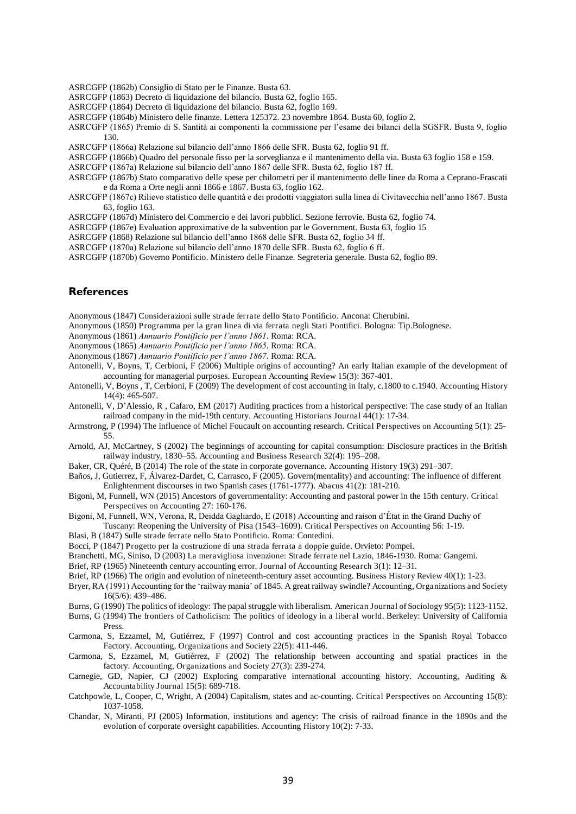ASRCGFP (1862b) Consiglio di Stato per le Finanze. Busta 63.

- ASRCGFP (1863) Decreto di liquidazione del bilancio. Busta 62, foglio 165.
- ASRCGFP (1864) Decreto di liquidazione del bilancio. Busta 62, foglio 169.
- ASRCGFP (1864b) Ministero delle finanze. Lettera 125372. 23 novembre 1864. Busta 60, foglio 2.
- ASRCGFP (1865) Premio di S. Santità ai componenti la commissione per l'esame dei bilanci della SGSFR. Busta 9, foglio 130.
- ASRCGFP (1866a) Relazione sul bilancio dell'anno 1866 delle SFR. Busta 62, foglio 91 ff.
- ASRCGFP (1866b) Quadro del personale fisso per la sorveglianza e il mantenimento della via. Busta 63 foglio 158 e 159.
- ASRCGFP (1867a) Relazione sul bilancio dell'anno 1867 delle SFR. Busta 62, foglio 187 ff.
- ASRCGFP (1867b) Stato comparativo delle spese per chilometri per il mantenimento delle linee da Roma a Ceprano-Frascati e da Roma a Orte negli anni 1866 e 1867. Busta 63, foglio 162.
- ASRCGFP (1867c) Rilievo statistico delle quantità e dei prodotti viaggiatori sulla linea di Civitavecchia nell'anno 1867. Busta 63, foglio 163.
- ASRCGFP (1867d) Ministero del Commercio e dei lavori pubblici. Sezione ferrovie. Busta 62, foglio 74.
- ASRCGFP (1867e) Evaluation approximative de la subvention par le Government. Busta 63, foglio 15
- ASRCGFP (1868) Relazione sul bilancio dell'anno 1868 delle SFR. Busta 62, foglio 34 ff.
- ASRCGFP (1870a) Relazione sul bilancio dell'anno 1870 delle SFR. Busta 62, foglio 6 ff.
- ASRCGFP (1870b) Governo Pontificio. Ministero delle Finanze. Segreteria generale. Busta 62, foglio 89.

#### **References**

- Anonymous (1847) Considerazioni sulle strade ferrate dello Stato Pontificio. Ancona: Cherubini.
- Anonymous (1850) Programma per la gran linea di via ferrata negli Stati Pontifici. Bologna: Tip.Bolognese.
- Anonymous (1861) *Annuario Pontificio per l'anno 1861*. Roma: RCA.
- Anonymous (1865) *Annuario Pontificio per l'anno 1865*. Roma: RCA.
- Anonymous (1867) *Annuario Pontificio per l'anno 1867*. Roma: RCA.
- Antonelli, V, Boyns, T, Cerbioni, F (2006) Multiple origins of accounting? An early Italian example of the development of accounting for managerial purposes. European Accounting Review 15(3): 367-401.
- Antonelli, V, Boyns , T, Cerbioni, F (2009) The development of cost accounting in Italy, c.1800 to c.1940. Accounting History 14(4): 465-507.
- Antonelli, V, D'Alessio, R , Cafaro, EM (2017) Auditing practices from a historical perspective: The case study of an Italian railroad company in the mid-19th century. Accounting Historians Journal 44(1): 17-34.
- Armstrong, P (1994) The influence of Michel Foucault on accounting research. Critical Perspectives on Accounting 5(1): 25- 55.
- Arnold, AJ, McCartney, S (2002) The beginnings of accounting for capital consumption: Disclosure practices in the British railway industry, 1830–55. Accounting and Business Research 32(4): 195–208.
- Baker, CR, Quéré, B (2014) The role of the state in corporate governance. Accounting History 19(3) 291–307.
- Baños, J, Gutierrez, F, Álvarez-Dardet, C, Carrasco, F (2005). Govern(mentality) and accounting: The influence of different Enlightenment discourses in two Spanish cases (1761-1777). Abacus 41(2): 181-210.
- Bigoni, M, Funnell, WN (2015) Ancestors of governmentality: Accounting and pastoral power in the 15th century. Critical Perspectives on Accounting 27: 160-176.
- Bigoni, M, Funnell, WN, Verona, R, Deidda Gagliardo, E (2018) Accounting and raison d'État in the Grand Duchy of Tuscany: Reopening the University of Pisa (1543–1609). Critical Perspectives on Accounting 56: 1-19.
- Blasi, B (1847) Sulle strade ferrate nello Stato Pontificio. Roma: Contedini.
- Bocci, P (1847) Progetto per la costruzione di una strada ferrata a doppie guide. Orvieto: Pompei.
- Branchetti, MG, Siniso, D (2003) La meravigliosa invenzione: Strade ferrate nel Lazio, 1846-1930. Roma: Gangemi.
- Brief, RP (1965) Nineteenth century accounting error. Journal of Accounting Research 3(1): 12–31.
- Brief, RP (1966) The origin and evolution of nineteenth-century asset accounting. Business History Review 40(1): 1-23.
- Bryer, RA (1991) Accounting for the 'railway mania' of 1845. A great railway swindle? Accounting, Organizations and Society 16(5/6): 439–486.
- Burns, G (1990) The politics of ideology: The papal struggle with liberalism. American Journal of Sociology 95(5): 1123-1152.
- Burns, G (1994) The frontiers of Catholicism: The politics of ideology in a liberal world. Berkeley: University of California Press.
- Carmona, S, Ezzamel, M, Gutiérrez, F (1997) Control and cost accounting practices in the Spanish Royal Tobacco Factory. Accounting, Organizations and Society 22(5): 411-446.
- Carmona, S, Ezzamel, M, Gutiérrez, F (2002) The relationship between accounting and spatial practices in the factory. Accounting, Organizations and Society 27(3): 239-274.
- Carnegie, GD, Napier, CJ (2002) Exploring comparative international accounting history. Accounting, Auditing & Accountability Journal 15(5): 689-718.
- Catchpowle, L, Cooper, C, Wright, A (2004) Capitalism, states and ac-counting. Critical Perspectives on Accounting 15(8): 1037-1058.
- Chandar, N, Miranti, PJ (2005) Information, institutions and agency: The crisis of railroad finance in the 1890s and the evolution of corporate oversight capabilities. Accounting History 10(2): 7-33.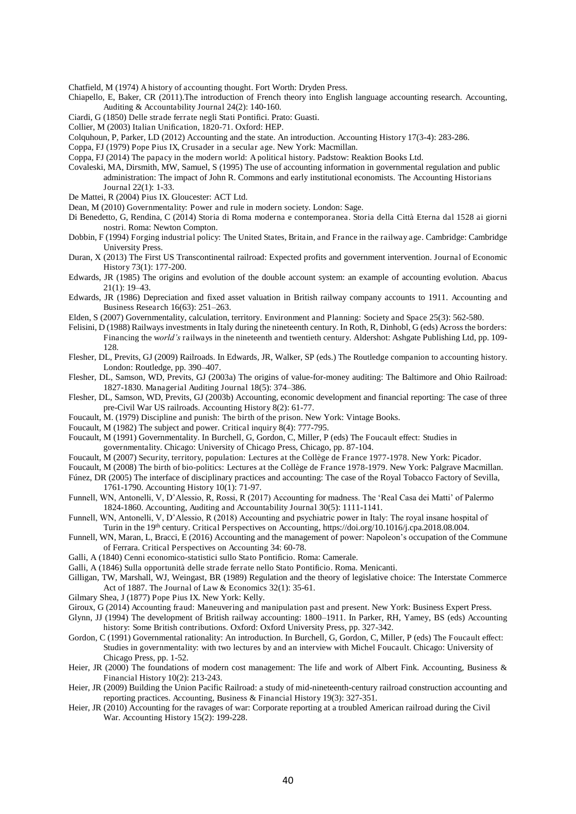Chatfield, M (1974) A history of accounting thought. Fort Worth: Dryden Press.

- Chiapello, E, Baker, CR (2011).The introduction of French theory into English language accounting research. Accounting, Auditing & Accountability Journal 24(2): 140-160.
- Ciardi, G (1850) Delle strade ferrate negli Stati Pontifici. Prato: Guasti.
- Collier, M (2003) Italian Unification, 1820-71. Oxford: HEP.
- Colquhoun, P, Parker, LD (2012) Accounting and the state. An introduction. Accounting History 17(3-4): 283-286.
- Coppa, FJ (1979) Pope Pius IX, Crusader in a secular age. New York: Macmillan.
- Coppa, FJ (2014) The papacy in the modern world: A political history. Padstow: Reaktion Books Ltd.
- Covaleski, MA, Dirsmith, MW, Samuel, S (1995) The use of accounting information in governmental regulation and public administration: The impact of John R. Commons and early institutional economists. The Accounting Historians Journal 22(1): 1-33.
- De Mattei, R (2004) Pius IX. Gloucester: ACT Ltd.
- Dean, M (2010) Governmentality: Power and rule in modern society. London: Sage.
- Di Benedetto, G, Rendina, C (2014) Storia di Roma moderna e contemporanea. Storia della Città Eterna dal 1528 ai giorni nostri. Roma: Newton Compton.
- Dobbin, F (1994) Forging industrial policy: The United States, Britain, and France in the railway age. Cambridge: Cambridge University Press.
- Duran, X (2013) The First US Transcontinental railroad: Expected profits and government intervention. Journal of Economic History 73(1): 177-200.
- Edwards, JR (1985) The origins and evolution of the double account system: an example of accounting evolution. Abacus 21(1): 19–43.
- Edwards, JR (1986) Depreciation and fixed asset valuation in British railway company accounts to 1911. Accounting and Business Research 16(63): 251–263.
- Elden, S (2007) Governmentality, calculation, territory. Environment and Planning: Society and Space 25(3): 562-580.
- Felisini, D (1988) Railways investments in Italy during the nineteenth century. In Roth, R, Dinhobl, G (eds) Across the borders: Financing the w*orld's* railways in the nineteenth and twentieth century. Aldershot: Ashgate Publishing Ltd, pp. 109- 128.
- Flesher, DL, Previts, GJ (2009) Railroads. In Edwards, JR, Walker, SP (eds.) The Routledge companion to accounting history. London: Routledge, pp. 390–407.
- Flesher, DL, Samson, WD, Previts, GJ (2003a) The origins of value-for-money auditing: The Baltimore and Ohio Railroad: 1827-1830. Managerial Auditing Journal 18(5): 374–386.
- Flesher, DL, Samson, WD, Previts, GJ (2003b) Accounting, economic development and financial reporting: The case of three pre-Civil War US railroads. Accounting History 8(2): 61-77.
- Foucault, M. (1979) Discipline and punish: The birth of the prison. New York: Vintage Books.
- Foucault, M (1982) The subject and power. Critical inquiry 8(4): 777-795.
- Foucault, M (1991) Governmentality. In Burchell, G, Gordon, C, Miller, P (eds) The Foucault effect: Studies in governmentality. Chicago: University of Chicago Press, Chicago, pp. 87-104.
- 
- Foucault, M (2007) Security, territory, population: Lectures at the Collège de France 1977-1978. New York: Picador. Foucault, M (2008) The birth of bio-politics: Lectures at the Collège de France 1978-1979. New York: Palgrave Macmillan.
- Fúnez, DR (2005) The interface of disciplinary practices and accounting: The case of the Royal Tobacco Factory of Sevilla, 1761-1790. Accounting History 10(1): 71-97.
- Funnell, WN, Antonelli, V, D'Alessio, R, Rossi, R (2017) Accounting for madness. The 'Real Casa dei Matti' of Palermo 1824-1860. Accounting, Auditing and Accountability Journal 30(5): 1111-1141.
- Funnell, WN, Antonelli, V, D'Alessio, R (2018) Accounting and psychiatric power in Italy: The royal insane hospital of Turin in the 19th century. Critical Perspectives on Accounting, https://doi.org/10.1016/j.cpa.2018.08.004.
- Funnell, WN, Maran, L, Bracci, E (2016) Accounting and the management of power: Napoleon's occupation of the Commune of Ferrara. Critical Perspectives on Accounting 34: 60-78.
- Galli, A (1840) Cenni economico-statistici sullo Stato Pontificio. Roma: Camerale.
- Galli, A (1846) Sulla opportunità delle strade ferrate nello Stato Pontificio. Roma. Menicanti.
- Gilligan, TW, Marshall, WJ, Weingast, BR (1989) Regulation and the theory of legislative choice: The Interstate Commerce Act of 1887. The Journal of Law & Economics 32(1): 35-61.
- Gilmary Shea, J (1877) Pope Pius IX. New York: Kelly.
- Giroux, G (2014) Accounting fraud: Maneuvering and manipulation past and present. New York: Business Expert Press.
- Glynn, JJ (1994) The development of British railway accounting: 1800–1911. In Parker, RH, Yamey, BS (eds) Accounting history: Some British contributions. Oxford: Oxford University Press, pp. 327-342.
- Gordon, C (1991) Governmental rationality: An introduction. In Burchell, G, Gordon, C, Miller, P (eds) The Foucault effect: Studies in governmentality: with two lectures by and an interview with Michel Foucault. Chicago: University of Chicago Press, pp. 1-52.
- Heier, JR (2000) The foundations of modern cost management: The life and work of Albert Fink. Accounting, Business & Financial History 10(2): 213-243.
- Heier, JR (2009) Building the Union Pacific Railroad: a study of mid-nineteenth-century railroad construction accounting and reporting practices. Accounting, Business & Financial History 19(3): 327-351.
- Heier, JR (2010) Accounting for the ravages of war: Corporate reporting at a troubled American railroad during the Civil War. Accounting History 15(2): 199-228.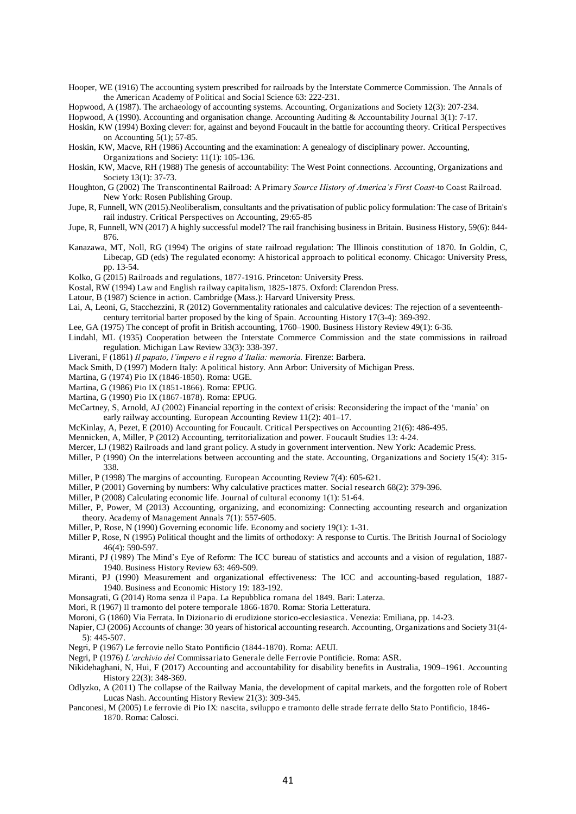Hooper, WE (1916) The accounting system prescribed for railroads by the Interstate Commerce Commission. The Annals of the American Academy of Political and Social Science 63: 222-231.

Hopwood, A (1987). The archaeology of accounting systems. Accounting, Organizations and Society 12(3): 207-234.

Hopwood, A (1990). Accounting and organisation change. Accounting Auditing & Accountability Journal 3(1): 7-17.

- Hoskin, KW (1994) Boxing clever: for, against and beyond Foucault in the battle for accounting theory. Critical Perspectives on Accounting 5(1); 57-85.
- Hoskin, KW, Macve, RH (1986) Accounting and the examination: A genealogy of disciplinary power. Accounting, Organizations and Society: 11(1): 105-136.
- Hoskin, KW, Macve, RH (1988) The genesis of accountability: The West Point connections. Accounting, Organizations and Society 13(1): 37-73.
- Houghton, G (2002) The Transcontinental Railroad: A Primary *Source History of America's First Coast*-to Coast Railroad. New York: Rosen Publishing Group.
- Jupe, R, Funnell, WN (2015).Neoliberalism, consultants and the privatisation of public policy formulation: The case of Britain's rail industry. Critical Perspectives on Accounting, 29:65-85
- Jupe, R, Funnell, WN (2017) A highly successful model? The rail franchising business in Britain. Business History, 59(6): 844- 876.
- Kanazawa, MT, Noll, RG (1994) The origins of state railroad regulation: The Illinois constitution of 1870. In Goldin, C, Libecap, GD (eds) The regulated economy: A historical approach to political economy. Chicago: University Press, pp. 13-54.
- Kolko, G (2015) Railroads and regulations, 1877-1916. Princeton: University Press.
- Kostal, RW (1994) Law and English railway capitalism, 1825-1875. Oxford: Clarendon Press.
- Latour, B (1987) Science in action. Cambridge (Mass.): Harvard University Press.
- Lai, A, Leoni, G, Stacchezzini, R (2012) Governmentality rationales and calculative devices: The rejection of a seventeenthcentury territorial barter proposed by the king of Spain. Accounting History 17(3-4): 369-392.
- Lee, GA (1975) The concept of profit in British accounting, 1760–1900. Business History Review 49(1): 6-36.
- Lindahl, ML (1935) Cooperation between the Interstate Commerce Commission and the state commissions in railroad regulation. Michigan Law Review 33(3): 338-397.
- Liverani, F (1861) *Il papato, l'impero e il regno d'Italia: memoria*. Firenze: Barbera.
- Mack Smith, D (1997) Modern Italy: A political history. Ann Arbor: University of Michigan Press.
- Martina, G (1974) Pio IX (1846-1850). Roma: UGE.
- Martina, G (1986) Pio IX (1851-1866). Roma: EPUG.
- Martina, G (1990) Pio IX (1867-1878). Roma: EPUG.
- McCartney, S, Arnold, AJ (2002) Financial reporting in the context of crisis: Reconsidering the impact of the 'mania' on early railway accounting. European Accounting Review 11(2): 401–17.
- McKinlay, A, Pezet, E (2010) Accounting for Foucault. Critical Perspectives on Accounting 21(6): 486-495.
- Mennicken, A, Miller, P (2012) Accounting, territorialization and power. Foucault Studies 13: 4-24.
- Mercer, LJ (1982) Railroads and land grant policy. A study in government intervention. New York: Academic Press.
- Miller, P (1990) On the interrelations between accounting and the state. Accounting, Organizations and Society 15(4): 315-338.
- Miller, P (1998) The margins of accounting. European Accounting Review 7(4): 605-621.
- Miller, P (2001) Governing by numbers: Why calculative practices matter. Social research 68(2): 379-396.
- Miller, P (2008) Calculating economic life. Journal of cultural economy 1(1): 51-64.
- Miller, P, Power, M (2013) Accounting, organizing, and economizing: Connecting accounting research and organization theory. Academy of Management Annals 7(1): 557-605.
- Miller, P, Rose, N (1990) Governing economic life. Economy and society 19(1): 1-31.
- Miller P, Rose, N (1995) Political thought and the limits of orthodoxy: A response to Curtis. The British Journal of Sociology 46(4): 590-597.
- Miranti, PJ (1989) The Mind's Eye of Reform: The ICC bureau of statistics and accounts and a vision of regulation, 1887- 1940. Business History Review 63: 469-509.
- Miranti, PJ (1990) Measurement and organizational effectiveness: The ICC and accounting-based regulation, 1887- 1940. Business and Economic History 19: 183-192.
- Monsagrati, G (2014) Roma senza il Papa. La Repubblica romana del 1849. Bari: Laterza.
- Mori, R (1967) Il tramonto del potere temporale 1866-1870. Roma: Storia Letteratura.
- Moroni, G (1860) Via Ferrata. In Dizionario di erudizione storico-ecclesiastica. Venezia: Emiliana, pp. 14-23.
- Napier, CJ (2006) Accounts of change: 30 years of historical accounting research. Accounting, Organizations and Society 31(4- 5): 445-507.
- Negri, P (1967) Le ferrovie nello Stato Pontificio (1844-1870). Roma: AEUI.
- Negri, P (1976) *L'archivio del* Commissariato Generale delle Ferrovie Pontificie. Roma: ASR.
- Nikidehaghani, N, Hui, F (2017) Accounting and accountability for disability benefits in Australia, 1909–1961. Accounting History 22(3): 348-369.
- Odlyzko, A (2011) The collapse of the Railway Mania, the development of capital markets, and the forgotten role of Robert Lucas Nash. Accounting History Review 21(3): 309-345.
- Panconesi, M (2005) Le ferrovie di Pio IX: nascita, sviluppo e tramonto delle strade ferrate dello Stato Pontificio, 1846- 1870. Roma: Calosci.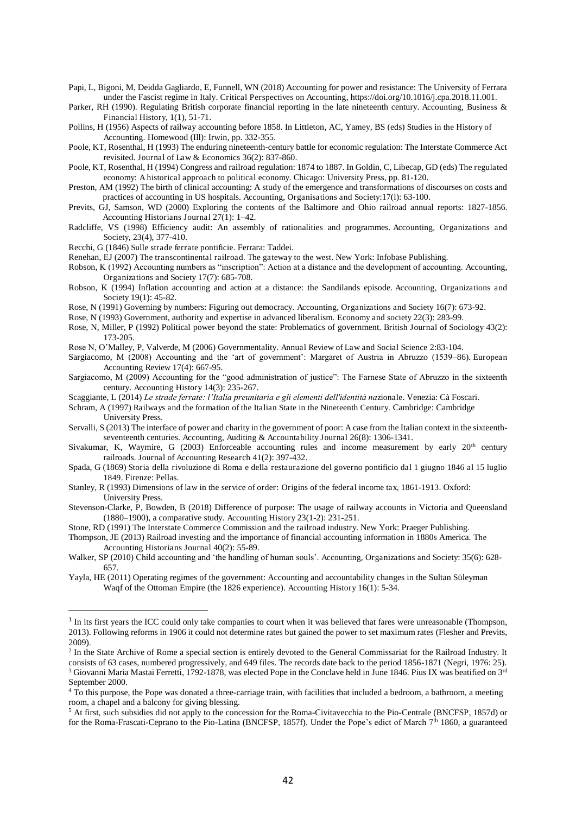Papi, L, Bigoni, M, Deidda Gagliardo, E, Funnell, WN (2018) Accounting for power and resistance: The University of Ferrara under the Fascist regime in Italy. Critical Perspectives on Accounting, https://doi.org/10.1016/j.cpa.2018.11.001.

Parker, RH (1990). Regulating British corporate financial reporting in the late nineteenth century. Accounting, Business & Financial History, 1(1), 51-71.

Pollins, H (1956) Aspects of railway accounting before 1858. In Littleton, AC, Yamey, BS (eds) Studies in the History of Accounting. Homewood (Ill): Irwin, pp. 332-355.

Poole, KT, Rosenthal, H (1993) The enduring nineteenth-century battle for economic regulation: The Interstate Commerce Act revisited. Journal of Law & Economics 36(2): 837-860.

Poole, KT, Rosenthal, H (1994) Congress and railroad regulation: 1874 to 1887. In Goldin, C, Libecap, GD (eds) The regulated economy: A historical approach to political economy. Chicago: University Press, pp. 81-120.

Preston, AM (1992) The birth of clinical accounting: A study of the emergence and transformations of discourses on costs and practices of accounting in US hospitals. Accounting, Organisations and Society:17(l): 63-100.

Previts, GJ, Samson, WD (2000) Exploring the contents of the Baltimore and Ohio railroad annual reports: 1827-1856. Accounting Historians Journal 27(1): 1–42.

Radcliffe, VS (1998) Efficiency audit: An assembly of rationalities and programmes. Accounting, Organizations and Society, 23(4), 377-410.

Recchi, G (1846) Sulle strade ferrate pontificie. Ferrara: Taddei.

l

Renehan, EJ (2007) The transcontinental railroad. The gateway to the west. New York: Infobase Publishing.

- Robson, K (1992) Accounting numbers as "inscription": Action at a distance and the development of accounting. Accounting, Organizations and Society 17(7): 685-708.
- Robson, K (1994) Inflation accounting and action at a distance: the Sandilands episode. Accounting, Organizations and Society 19(1): 45-82.

Rose, N (1991) Governing by numbers: Figuring out democracy. Accounting, Organizations and Society 16(7): 673-92.

Rose, N (1993) Government, authority and expertise in advanced liberalism. Economy and society 22(3): 283-99.

- Rose, N, Miller, P (1992) Political power beyond the state: Problematics of government. British Journal of Sociology 43(2): 173-205.
- Rose N, O'Malley, P, Valverde, M (2006) Governmentality. Annual Review of Law and Social Science 2:83-104.

Sargiacomo, M (2008) Accounting and the 'art of government': Margaret of Austria in Abruzzo (1539–86). European Accounting Review 17(4): 667-95.

Sargiacomo, M (2009) Accounting for the "good administration of justice": The Farnese State of Abruzzo in the sixteenth century. Accounting History 14(3): 235-267.

Scaggiante, L (2014) *Le strade ferrate: l'Italia preunitaria e gli elementi dell'identità na*zionale. Venezia: Cà Foscari.

Schram, A (1997) Railways and the formation of the Italian State in the Nineteenth Century. Cambridge: Cambridge University Press.

- Servalli, S (2013) The interface of power and charity in the government of poor: A case from the Italian context in the sixteenthseventeenth centuries. Accounting, Auditing & Accountability Journal 26(8): 1306-1341.
- Sivakumar, K, Waymire, G (2003) Enforceable accounting rules and income measurement by early  $20<sup>th</sup>$  century railroads. Journal of Accounting Research 41(2): 397-432.
- Spada, G (1869) Storia della rivoluzione di Roma e della restaurazione del governo pontificio dal 1 giugno 1846 al 15 luglio 1849. Firenze: Pellas.

Stanley, R (1993) Dimensions of law in the service of order: Origins of the federal income tax, 1861-1913. Oxford: University Press.

Stevenson-Clarke, P, Bowden, B (2018) Difference of purpose: The usage of railway accounts in Victoria and Queensland (1880–1900), a comparative study. Accounting History 23(1-2): 231-251.

Stone, RD (1991) The Interstate Commerce Commission and the railroad industry. New York: Praeger Publishing.

Thompson, JE (2013) Railroad investing and the importance of financial accounting information in 1880s America. The Accounting Historians Journal 40(2): 55-89.

Walker, SP (2010) Child accounting and 'the handling of human souls'. Accounting, Organizations and Society: 35(6): 628- 657.

Yayla, HE (2011) Operating regimes of the government: Accounting and accountability changes in the Sultan Süleyman Waqf of the Ottoman Empire (the 1826 experience). Accounting History 16(1): 5-34.

<sup>&</sup>lt;sup>1</sup> In its first years the ICC could only take companies to court when it was believed that fares were unreasonable (Thompson, 2013). Following reforms in 1906 it could not determine rates but gained the power to set maximum rates (Flesher and Previts, 2009).

<sup>&</sup>lt;sup>2</sup> In the State Archive of Rome a special section is entirely devoted to the General Commissariat for the Railroad Industry. It consists of 63 cases, numbered progressively, and 649 files. The records date back to the period 1856-1871 (Negri, 1976: 25).

<sup>&</sup>lt;sup>3</sup> Giovanni Maria Mastai Ferretti, 1792-1878, was elected Pope in the Conclave held in June 1846. Pius IX was beatified on 3<sup>rd</sup> September 2000.

<sup>&</sup>lt;sup>4</sup> To this purpose, the Pope was donated a three-carriage train, with facilities that included a bedroom, a bathroom, a meeting room, a chapel and a balcony for giving blessing.

<sup>&</sup>lt;sup>5</sup> At first, such subsidies did not apply to the concession for the Roma-Civitavecchia to the Pio-Centrale (BNCFSP, 1857d) or for the Roma-Frascati-Ceprano to the Pio-Latina (BNCFSP, 1857f). Under the Pope's edict of March 7<sup>th</sup> 1860, a guaranteed